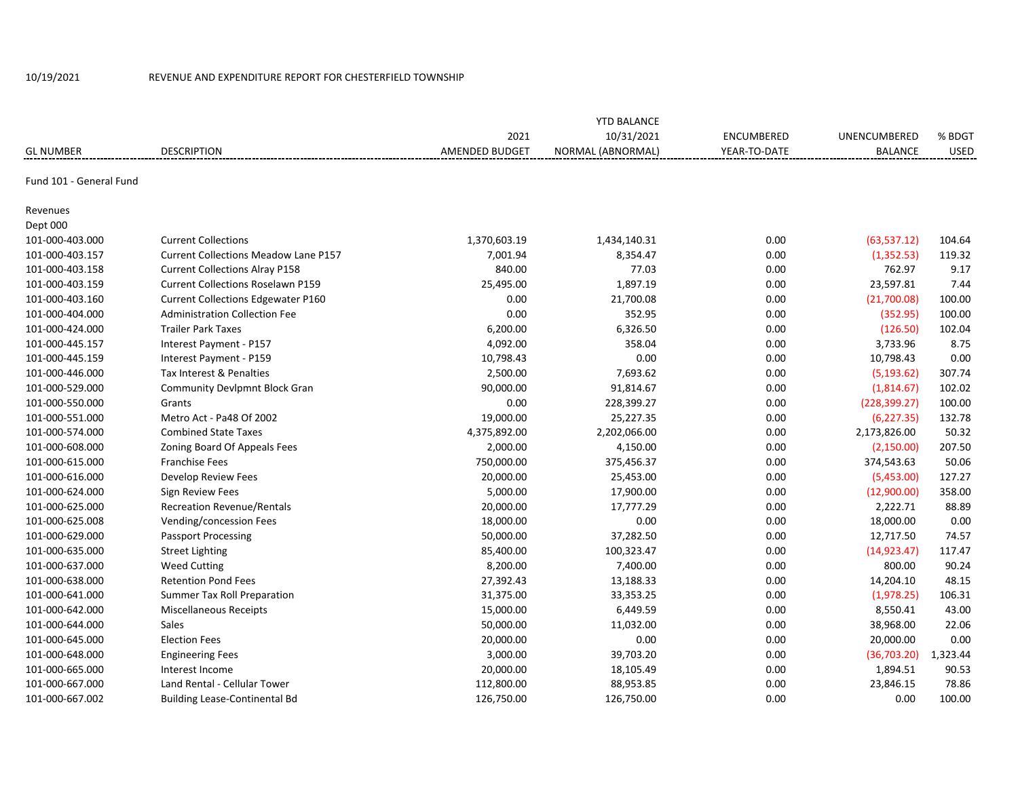|                         | <b>YTD BALANCE</b>                          |                |                   |                   |                |             |  |  |
|-------------------------|---------------------------------------------|----------------|-------------------|-------------------|----------------|-------------|--|--|
|                         |                                             | 2021           | 10/31/2021        | <b>ENCUMBERED</b> | UNENCUMBERED   | % BDGT      |  |  |
| <b>GL NUMBER</b>        | <b>DESCRIPTION</b>                          | AMENDED BUDGET | NORMAL (ABNORMAL) | YEAR-TO-DATE      | <b>BALANCE</b> | <b>USED</b> |  |  |
| Fund 101 - General Fund |                                             |                |                   |                   |                |             |  |  |
| Revenues                |                                             |                |                   |                   |                |             |  |  |
| Dept 000                |                                             |                |                   |                   |                |             |  |  |
| 101-000-403.000         | <b>Current Collections</b>                  | 1,370,603.19   | 1,434,140.31      | 0.00              | (63, 537.12)   | 104.64      |  |  |
| 101-000-403.157         | <b>Current Collections Meadow Lane P157</b> | 7,001.94       | 8,354.47          | 0.00              | (1,352.53)     | 119.32      |  |  |
| 101-000-403.158         | <b>Current Collections Alray P158</b>       | 840.00         | 77.03             | 0.00              | 762.97         | 9.17        |  |  |
| 101-000-403.159         | <b>Current Collections Roselawn P159</b>    | 25,495.00      | 1,897.19          | 0.00              | 23,597.81      | 7.44        |  |  |
| 101-000-403.160         | <b>Current Collections Edgewater P160</b>   | 0.00           | 21,700.08         | 0.00              | (21,700.08)    | 100.00      |  |  |
| 101-000-404.000         | <b>Administration Collection Fee</b>        | 0.00           | 352.95            | 0.00              | (352.95)       | 100.00      |  |  |
| 101-000-424.000         | <b>Trailer Park Taxes</b>                   | 6,200.00       | 6,326.50          | 0.00              | (126.50)       | 102.04      |  |  |
| 101-000-445.157         | Interest Payment - P157                     | 4,092.00       | 358.04            | 0.00              | 3,733.96       | 8.75        |  |  |
| 101-000-445.159         | Interest Payment - P159                     | 10,798.43      | 0.00              | 0.00              | 10,798.43      | 0.00        |  |  |
| 101-000-446.000         | Tax Interest & Penalties                    | 2,500.00       | 7,693.62          | 0.00              | (5, 193.62)    | 307.74      |  |  |
| 101-000-529.000         | <b>Community Devlpmnt Block Gran</b>        | 90,000.00      | 91,814.67         | 0.00              | (1,814.67)     | 102.02      |  |  |
| 101-000-550.000         | Grants                                      | 0.00           | 228,399.27        | 0.00              | (228, 399.27)  | 100.00      |  |  |
| 101-000-551.000         | Metro Act - Pa48 Of 2002                    | 19,000.00      | 25,227.35         | 0.00              | (6, 227.35)    | 132.78      |  |  |
| 101-000-574.000         | <b>Combined State Taxes</b>                 | 4,375,892.00   | 2,202,066.00      | 0.00              | 2,173,826.00   | 50.32       |  |  |
| 101-000-608.000         | Zoning Board Of Appeals Fees                | 2,000.00       | 4,150.00          | 0.00              | (2, 150.00)    | 207.50      |  |  |
| 101-000-615.000         | <b>Franchise Fees</b>                       | 750,000.00     | 375,456.37        | 0.00              | 374,543.63     | 50.06       |  |  |
| 101-000-616.000         | Develop Review Fees                         | 20,000.00      | 25,453.00         | 0.00              | (5,453.00)     | 127.27      |  |  |
| 101-000-624.000         | Sign Review Fees                            | 5,000.00       | 17,900.00         | 0.00              | (12,900.00)    | 358.00      |  |  |
| 101-000-625.000         | <b>Recreation Revenue/Rentals</b>           | 20,000.00      | 17,777.29         | 0.00              | 2,222.71       | 88.89       |  |  |
| 101-000-625.008         | Vending/concession Fees                     | 18,000.00      | 0.00              | 0.00              | 18,000.00      | 0.00        |  |  |
| 101-000-629.000         | <b>Passport Processing</b>                  | 50,000.00      | 37,282.50         | 0.00              | 12,717.50      | 74.57       |  |  |
| 101-000-635.000         | <b>Street Lighting</b>                      | 85,400.00      | 100,323.47        | 0.00              | (14, 923.47)   | 117.47      |  |  |
| 101-000-637.000         | <b>Weed Cutting</b>                         | 8,200.00       | 7,400.00          | 0.00              | 800.00         | 90.24       |  |  |
| 101-000-638.000         | <b>Retention Pond Fees</b>                  | 27,392.43      | 13,188.33         | 0.00              | 14,204.10      | 48.15       |  |  |
| 101-000-641.000         | <b>Summer Tax Roll Preparation</b>          | 31,375.00      | 33,353.25         | 0.00              | (1,978.25)     | 106.31      |  |  |
| 101-000-642.000         | <b>Miscellaneous Receipts</b>               | 15,000.00      | 6,449.59          | 0.00              | 8,550.41       | 43.00       |  |  |
| 101-000-644.000         | <b>Sales</b>                                | 50,000.00      | 11,032.00         | 0.00              | 38,968.00      | 22.06       |  |  |
| 101-000-645.000         | <b>Election Fees</b>                        | 20,000.00      | 0.00              | 0.00              | 20,000.00      | 0.00        |  |  |
| 101-000-648.000         | <b>Engineering Fees</b>                     | 3,000.00       | 39,703.20         | 0.00              | (36,703.20)    | 1,323.44    |  |  |
| 101-000-665.000         | Interest Income                             | 20,000.00      | 18,105.49         | 0.00              | 1,894.51       | 90.53       |  |  |
| 101-000-667.000         | Land Rental - Cellular Tower                | 112,800.00     | 88,953.85         | 0.00              | 23,846.15      | 78.86       |  |  |
| 101-000-667.002         | <b>Building Lease-Continental Bd</b>        | 126,750.00     | 126,750.00        | 0.00              | 0.00           | 100.00      |  |  |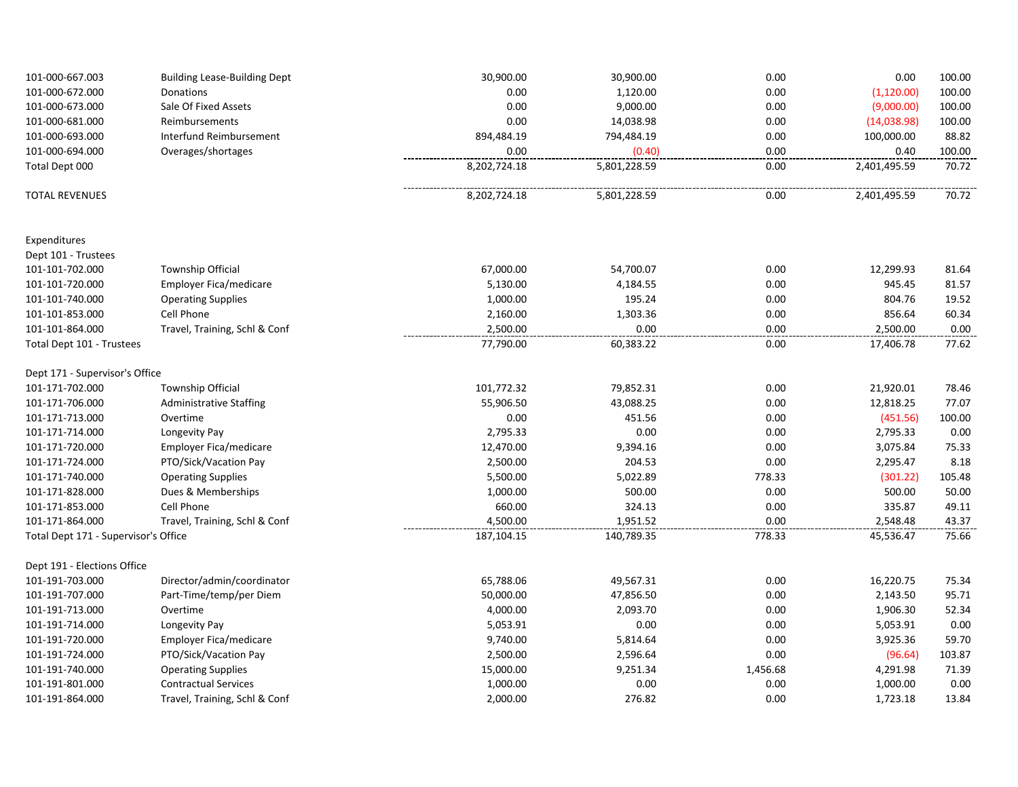| 101-000-667.003                      | <b>Building Lease-Building Dept</b> | 30,900.00    | 30,900.00    | 0.00     | 0.00         | 100.00 |
|--------------------------------------|-------------------------------------|--------------|--------------|----------|--------------|--------|
| 101-000-672.000                      | Donations                           | 0.00         | 1,120.00     | 0.00     | (1, 120.00)  | 100.00 |
| 101-000-673.000                      | Sale Of Fixed Assets                | 0.00         | 9,000.00     | 0.00     | (9,000.00)   | 100.00 |
| 101-000-681.000                      | Reimbursements                      | 0.00         | 14,038.98    | 0.00     | (14,038.98)  | 100.00 |
| 101-000-693.000                      | Interfund Reimbursement             | 894,484.19   | 794,484.19   | 0.00     | 100,000.00   | 88.82  |
| 101-000-694.000                      | Overages/shortages                  | 0.00         | (0.40)       | 0.00     | 0.40         | 100.00 |
| Total Dept 000                       |                                     | 8,202,724.18 | 5,801,228.59 | 0.00     | 2,401,495.59 | 70.72  |
| <b>TOTAL REVENUES</b>                |                                     | 8,202,724.18 | 5,801,228.59 | 0.00     | 2,401,495.59 | 70.72  |
| Expenditures                         |                                     |              |              |          |              |        |
| Dept 101 - Trustees                  |                                     |              |              |          |              |        |
| 101-101-702.000                      | Township Official                   | 67,000.00    | 54,700.07    | 0.00     | 12,299.93    | 81.64  |
| 101-101-720.000                      | Employer Fica/medicare              | 5,130.00     | 4,184.55     | 0.00     | 945.45       | 81.57  |
| 101-101-740.000                      | <b>Operating Supplies</b>           | 1,000.00     | 195.24       | 0.00     | 804.76       | 19.52  |
| 101-101-853.000                      | Cell Phone                          | 2,160.00     | 1,303.36     | 0.00     | 856.64       | 60.34  |
| 101-101-864.000                      | Travel, Training, Schl & Conf       | 2,500.00     | 0.00         | 0.00     | 2,500.00     | 0.00   |
| Total Dept 101 - Trustees            |                                     | 77,790.00    | 60,383.22    | 0.00     | 17,406.78    | 77.62  |
| Dept 171 - Supervisor's Office       |                                     |              |              |          |              |        |
| 101-171-702.000                      | <b>Township Official</b>            | 101,772.32   | 79,852.31    | 0.00     | 21,920.01    | 78.46  |
| 101-171-706.000                      | <b>Administrative Staffing</b>      | 55,906.50    | 43,088.25    | 0.00     | 12,818.25    | 77.07  |
| 101-171-713.000                      | Overtime                            | 0.00         | 451.56       | 0.00     | (451.56)     | 100.00 |
| 101-171-714.000                      | Longevity Pay                       | 2,795.33     | 0.00         | 0.00     | 2,795.33     | 0.00   |
| 101-171-720.000                      | Employer Fica/medicare              | 12,470.00    | 9,394.16     | 0.00     | 3,075.84     | 75.33  |
| 101-171-724.000                      | PTO/Sick/Vacation Pay               | 2,500.00     | 204.53       | 0.00     | 2,295.47     | 8.18   |
| 101-171-740.000                      | <b>Operating Supplies</b>           | 5,500.00     | 5,022.89     | 778.33   | (301.22)     | 105.48 |
| 101-171-828.000                      | Dues & Memberships                  | 1,000.00     | 500.00       | 0.00     | 500.00       | 50.00  |
| 101-171-853.000                      | Cell Phone                          | 660.00       | 324.13       | 0.00     | 335.87       | 49.11  |
| 101-171-864.000                      | Travel, Training, Schl & Conf       | 4,500.00     | 1,951.52     | 0.00     | 2,548.48     | 43.37  |
| Total Dept 171 - Supervisor's Office |                                     | 187,104.15   | 140,789.35   | 778.33   | 45,536.47    | 75.66  |
| Dept 191 - Elections Office          |                                     |              |              |          |              |        |
| 101-191-703.000                      | Director/admin/coordinator          | 65,788.06    | 49,567.31    | 0.00     | 16,220.75    | 75.34  |
| 101-191-707.000                      | Part-Time/temp/per Diem             | 50,000.00    | 47,856.50    | 0.00     | 2,143.50     | 95.71  |
| 101-191-713.000                      | Overtime                            | 4,000.00     | 2,093.70     | 0.00     | 1,906.30     | 52.34  |
| 101-191-714.000                      | Longevity Pay                       | 5,053.91     | 0.00         | 0.00     | 5,053.91     | 0.00   |
| 101-191-720.000                      | Employer Fica/medicare              | 9,740.00     | 5,814.64     | 0.00     | 3,925.36     | 59.70  |
| 101-191-724.000                      | PTO/Sick/Vacation Pay               | 2,500.00     | 2,596.64     | 0.00     | (96.64)      | 103.87 |
| 101-191-740.000                      | <b>Operating Supplies</b>           | 15,000.00    | 9,251.34     | 1,456.68 | 4,291.98     | 71.39  |
| 101-191-801.000                      | <b>Contractual Services</b>         | 1,000.00     | 0.00         | 0.00     | 1,000.00     | 0.00   |
| 101-191-864.000                      | Travel, Training, Schl & Conf       | 2,000.00     | 276.82       | 0.00     | 1,723.18     | 13.84  |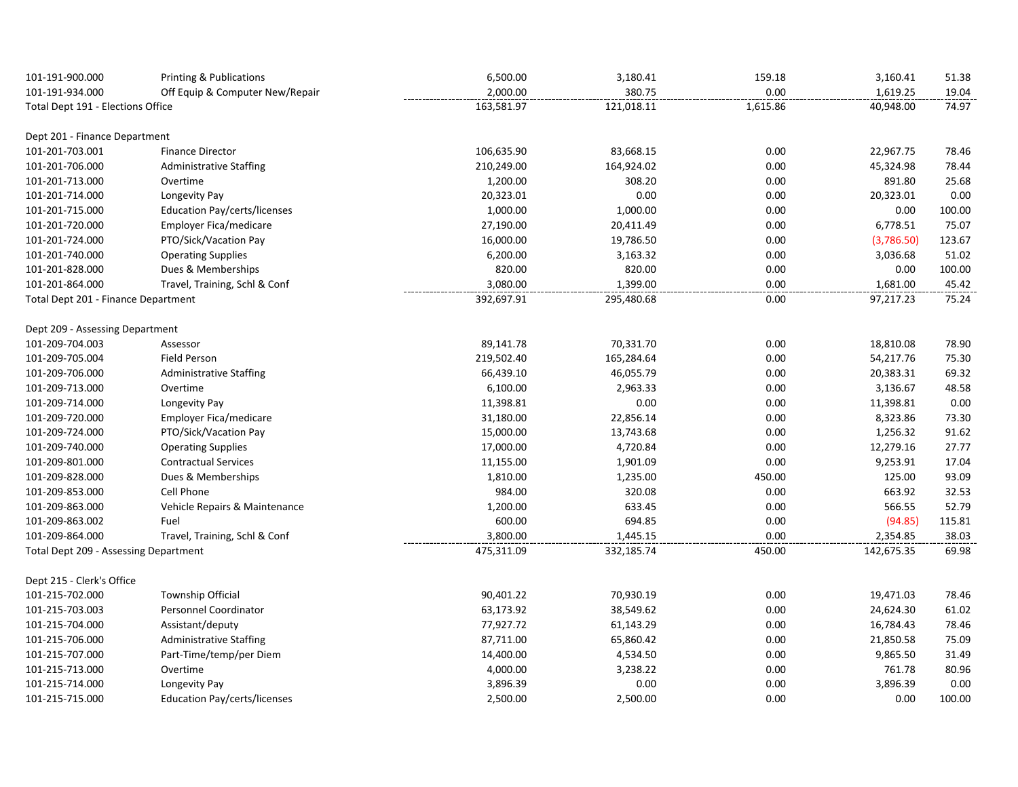| 101-191-900.000                       | <b>Printing &amp; Publications</b>  | 6,500.00   | 3,180.41   | 159.18   | 3,160.41   | 51.38  |
|---------------------------------------|-------------------------------------|------------|------------|----------|------------|--------|
| 101-191-934.000                       | Off Equip & Computer New/Repair     | 2,000.00   | 380.75     | 0.00     | 1,619.25   | 19.04  |
| Total Dept 191 - Elections Office     |                                     | 163,581.97 | 121,018.11 | 1,615.86 | 40,948.00  | 74.97  |
| Dept 201 - Finance Department         |                                     |            |            |          |            |        |
| 101-201-703.001                       | <b>Finance Director</b>             | 106,635.90 | 83,668.15  | 0.00     | 22,967.75  | 78.46  |
| 101-201-706.000                       | <b>Administrative Staffing</b>      | 210,249.00 | 164,924.02 | 0.00     | 45,324.98  | 78.44  |
| 101-201-713.000                       | Overtime                            | 1,200.00   | 308.20     | 0.00     | 891.80     | 25.68  |
| 101-201-714.000                       | Longevity Pay                       | 20,323.01  | 0.00       | 0.00     | 20,323.01  | 0.00   |
| 101-201-715.000                       | Education Pay/certs/licenses        | 1,000.00   | 1,000.00   | 0.00     | 0.00       | 100.00 |
| 101-201-720.000                       | Employer Fica/medicare              | 27,190.00  | 20,411.49  | 0.00     | 6,778.51   | 75.07  |
| 101-201-724.000                       | PTO/Sick/Vacation Pay               | 16,000.00  | 19,786.50  | 0.00     | (3,786.50) | 123.67 |
| 101-201-740.000                       | <b>Operating Supplies</b>           | 6,200.00   | 3,163.32   | 0.00     | 3,036.68   | 51.02  |
| 101-201-828.000                       | Dues & Memberships                  | 820.00     | 820.00     | 0.00     | 0.00       | 100.00 |
| 101-201-864.000                       | Travel, Training, Schl & Conf       | 3,080.00   | 1,399.00   | 0.00     | 1,681.00   | 45.42  |
| Total Dept 201 - Finance Department   |                                     | 392,697.91 | 295,480.68 | 0.00     | 97,217.23  | 75.24  |
| Dept 209 - Assessing Department       |                                     |            |            |          |            |        |
| 101-209-704.003                       | Assessor                            | 89,141.78  | 70,331.70  | 0.00     | 18,810.08  | 78.90  |
| 101-209-705.004                       | <b>Field Person</b>                 | 219,502.40 | 165,284.64 | 0.00     | 54,217.76  | 75.30  |
| 101-209-706.000                       | <b>Administrative Staffing</b>      | 66,439.10  | 46,055.79  | 0.00     | 20,383.31  | 69.32  |
| 101-209-713.000                       | Overtime                            | 6,100.00   | 2,963.33   | 0.00     | 3,136.67   | 48.58  |
| 101-209-714.000                       | Longevity Pay                       | 11,398.81  | 0.00       | 0.00     | 11,398.81  | 0.00   |
| 101-209-720.000                       | Employer Fica/medicare              | 31,180.00  | 22,856.14  | 0.00     | 8,323.86   | 73.30  |
| 101-209-724.000                       | PTO/Sick/Vacation Pay               | 15,000.00  | 13,743.68  | 0.00     | 1,256.32   | 91.62  |
| 101-209-740.000                       | <b>Operating Supplies</b>           | 17,000.00  | 4,720.84   | 0.00     | 12,279.16  | 27.77  |
| 101-209-801.000                       | <b>Contractual Services</b>         | 11,155.00  | 1,901.09   | 0.00     | 9,253.91   | 17.04  |
| 101-209-828.000                       | Dues & Memberships                  | 1,810.00   | 1,235.00   | 450.00   | 125.00     | 93.09  |
| 101-209-853.000                       | Cell Phone                          | 984.00     | 320.08     | 0.00     | 663.92     | 32.53  |
| 101-209-863.000                       | Vehicle Repairs & Maintenance       | 1,200.00   | 633.45     | 0.00     | 566.55     | 52.79  |
| 101-209-863.002                       | Fuel                                | 600.00     | 694.85     | 0.00     | (94.85)    | 115.81 |
| 101-209-864.000                       | Travel, Training, Schl & Conf       | 3,800.00   | 1,445.15   | 0.00     | 2,354.85   | 38.03  |
| Total Dept 209 - Assessing Department |                                     | 475,311.09 | 332,185.74 | 450.00   | 142,675.35 | 69.98  |
| Dept 215 - Clerk's Office             |                                     |            |            |          |            |        |
| 101-215-702.000                       | <b>Township Official</b>            | 90,401.22  | 70,930.19  | 0.00     | 19,471.03  | 78.46  |
| 101-215-703.003                       | Personnel Coordinator               | 63,173.92  | 38,549.62  | 0.00     | 24,624.30  | 61.02  |
| 101-215-704.000                       | Assistant/deputy                    | 77,927.72  | 61,143.29  | 0.00     | 16,784.43  | 78.46  |
| 101-215-706.000                       | <b>Administrative Staffing</b>      | 87,711.00  | 65,860.42  | 0.00     | 21,850.58  | 75.09  |
| 101-215-707.000                       | Part-Time/temp/per Diem             | 14,400.00  | 4,534.50   | 0.00     | 9,865.50   | 31.49  |
| 101-215-713.000                       | Overtime                            | 4,000.00   | 3,238.22   | 0.00     | 761.78     | 80.96  |
| 101-215-714.000                       | Longevity Pay                       | 3,896.39   | 0.00       | 0.00     | 3,896.39   | 0.00   |
| 101-215-715.000                       | <b>Education Pay/certs/licenses</b> | 2,500.00   | 2,500.00   | 0.00     | 0.00       | 100.00 |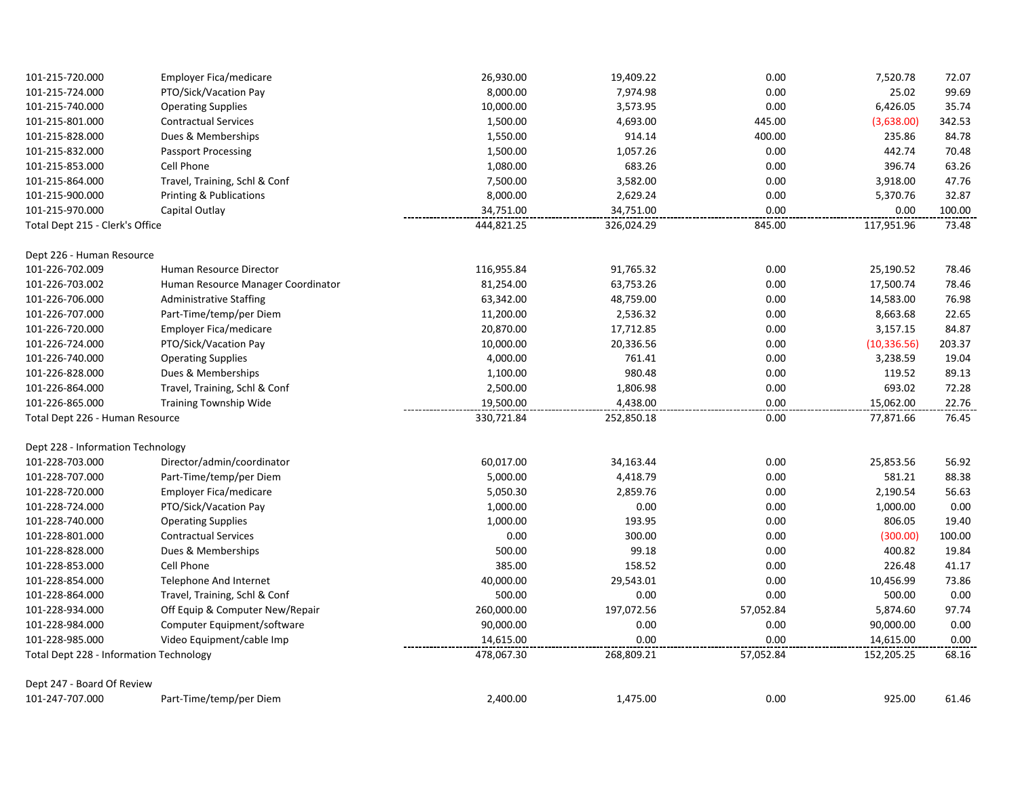| 101-215-720.000                                | Employer Fica/medicare             | 26,930.00  | 19,409.22  | 0.00      | 7,520.78     | 72.07  |
|------------------------------------------------|------------------------------------|------------|------------|-----------|--------------|--------|
| 101-215-724.000                                | PTO/Sick/Vacation Pay              | 8,000.00   | 7,974.98   | 0.00      | 25.02        | 99.69  |
| 101-215-740.000                                | <b>Operating Supplies</b>          | 10,000.00  | 3,573.95   | 0.00      | 6,426.05     | 35.74  |
| 101-215-801.000                                | <b>Contractual Services</b>        | 1,500.00   | 4,693.00   | 445.00    | (3,638.00)   | 342.53 |
| 101-215-828.000                                | Dues & Memberships                 | 1,550.00   | 914.14     | 400.00    | 235.86       | 84.78  |
| 101-215-832.000                                | <b>Passport Processing</b>         | 1,500.00   | 1,057.26   | 0.00      | 442.74       | 70.48  |
| 101-215-853.000                                | Cell Phone                         | 1,080.00   | 683.26     | 0.00      | 396.74       | 63.26  |
| 101-215-864.000                                | Travel, Training, Schl & Conf      | 7,500.00   | 3,582.00   | 0.00      | 3,918.00     | 47.76  |
| 101-215-900.000                                | <b>Printing &amp; Publications</b> | 8,000.00   | 2,629.24   | 0.00      | 5,370.76     | 32.87  |
| 101-215-970.000                                | Capital Outlay                     | 34,751.00  | 34,751.00  | 0.00      | 0.00         | 100.00 |
| Total Dept 215 - Clerk's Office                |                                    | 444,821.25 | 326,024.29 | 845.00    | 117,951.96   | 73.48  |
| Dept 226 - Human Resource                      |                                    |            |            |           |              |        |
| 101-226-702.009                                | Human Resource Director            | 116,955.84 | 91,765.32  | 0.00      | 25,190.52    | 78.46  |
| 101-226-703.002                                | Human Resource Manager Coordinator | 81,254.00  | 63,753.26  | 0.00      | 17,500.74    | 78.46  |
| 101-226-706.000                                | <b>Administrative Staffing</b>     | 63,342.00  | 48,759.00  | 0.00      | 14,583.00    | 76.98  |
| 101-226-707.000                                | Part-Time/temp/per Diem            | 11,200.00  | 2,536.32   | 0.00      | 8,663.68     | 22.65  |
| 101-226-720.000                                | Employer Fica/medicare             | 20,870.00  | 17,712.85  | 0.00      | 3,157.15     | 84.87  |
| 101-226-724.000                                | PTO/Sick/Vacation Pay              | 10,000.00  | 20,336.56  | 0.00      | (10, 336.56) | 203.37 |
| 101-226-740.000                                | <b>Operating Supplies</b>          | 4,000.00   | 761.41     | 0.00      | 3,238.59     | 19.04  |
| 101-226-828.000                                | Dues & Memberships                 | 1,100.00   | 980.48     | 0.00      | 119.52       | 89.13  |
| 101-226-864.000                                | Travel, Training, Schl & Conf      | 2,500.00   | 1,806.98   | 0.00      | 693.02       | 72.28  |
| 101-226-865.000                                | <b>Training Township Wide</b>      | 19,500.00  | 4,438.00   | 0.00      | 15,062.00    | 22.76  |
| Total Dept 226 - Human Resource                |                                    | 330,721.84 | 252,850.18 | 0.00      | 77,871.66    | 76.45  |
| Dept 228 - Information Technology              |                                    |            |            |           |              |        |
| 101-228-703.000                                | Director/admin/coordinator         | 60,017.00  | 34,163.44  | 0.00      | 25,853.56    | 56.92  |
| 101-228-707.000                                | Part-Time/temp/per Diem            | 5,000.00   | 4,418.79   | 0.00      | 581.21       | 88.38  |
| 101-228-720.000                                | Employer Fica/medicare             | 5,050.30   | 2,859.76   | 0.00      | 2,190.54     | 56.63  |
| 101-228-724.000                                | PTO/Sick/Vacation Pay              | 1,000.00   | 0.00       | 0.00      | 1,000.00     | 0.00   |
| 101-228-740.000                                | <b>Operating Supplies</b>          | 1,000.00   | 193.95     | 0.00      | 806.05       | 19.40  |
| 101-228-801.000                                | <b>Contractual Services</b>        | 0.00       | 300.00     | 0.00      | (300.00)     | 100.00 |
| 101-228-828.000                                | Dues & Memberships                 | 500.00     | 99.18      | 0.00      | 400.82       | 19.84  |
| 101-228-853.000                                | Cell Phone                         | 385.00     | 158.52     | 0.00      | 226.48       | 41.17  |
| 101-228-854.000                                | <b>Telephone And Internet</b>      | 40,000.00  | 29,543.01  | 0.00      | 10,456.99    | 73.86  |
| 101-228-864.000                                | Travel, Training, Schl & Conf      | 500.00     | 0.00       | 0.00      | 500.00       | 0.00   |
| 101-228-934.000                                | Off Equip & Computer New/Repair    | 260,000.00 | 197,072.56 | 57,052.84 | 5,874.60     | 97.74  |
| 101-228-984.000                                | Computer Equipment/software        | 90,000.00  | 0.00       | 0.00      | 90,000.00    | 0.00   |
| 101-228-985.000                                | Video Equipment/cable Imp          | 14,615.00  | 0.00       | 0.00      | 14,615.00    | 0.00   |
| <b>Total Dept 228 - Information Technology</b> |                                    | 478,067.30 | 268,809.21 | 57,052.84 | 152,205.25   | 68.16  |
| Dept 247 - Board Of Review                     |                                    |            |            |           |              |        |
| 101-247-707.000                                | Part-Time/temp/per Diem            | 2,400.00   | 1,475.00   | 0.00      | 925.00       | 61.46  |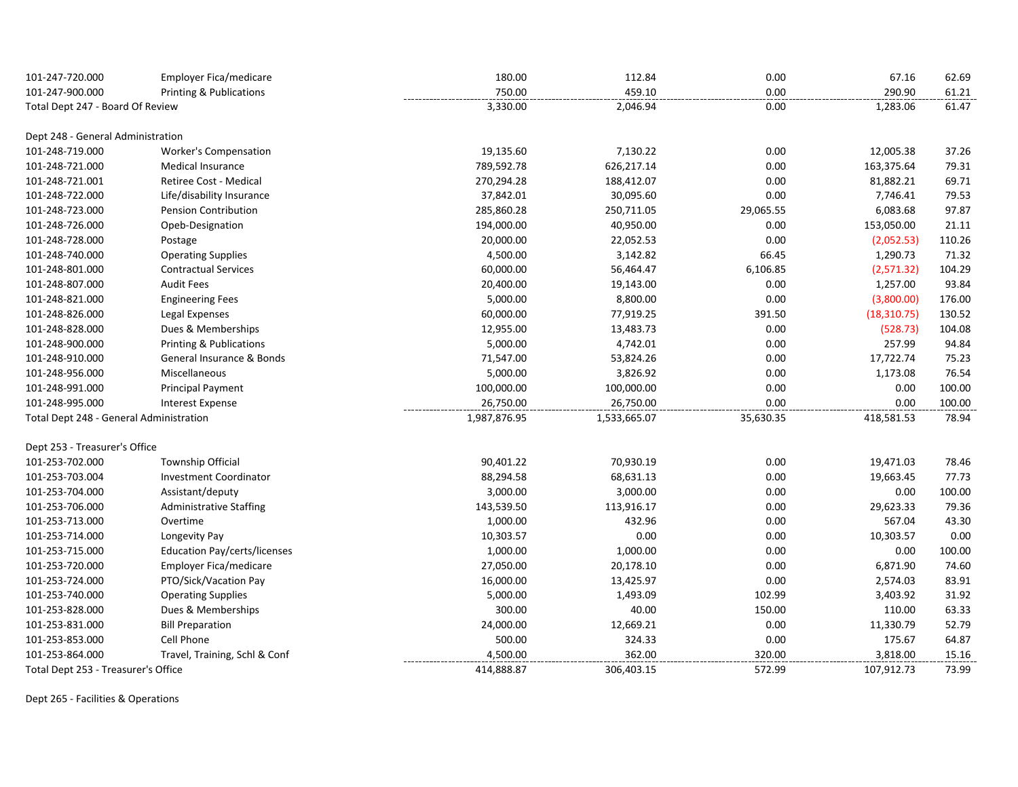| 101-247-720.000                         | Employer Fica/medicare              | 180.00       | 112.84       | 0.00      | 67.16        | 62.69  |
|-----------------------------------------|-------------------------------------|--------------|--------------|-----------|--------------|--------|
| 101-247-900.000                         | <b>Printing &amp; Publications</b>  | 750.00       | 459.10       | 0.00      | 290.90       | 61.21  |
| Total Dept 247 - Board Of Review        |                                     | 3,330.00     | 2,046.94     | 0.00      | 1,283.06     | 61.47  |
| Dept 248 - General Administration       |                                     |              |              |           |              |        |
| 101-248-719.000                         | <b>Worker's Compensation</b>        | 19,135.60    | 7,130.22     | 0.00      | 12,005.38    | 37.26  |
| 101-248-721.000                         | Medical Insurance                   | 789,592.78   | 626,217.14   | 0.00      | 163,375.64   | 79.31  |
| 101-248-721.001                         | Retiree Cost - Medical              | 270,294.28   | 188,412.07   | 0.00      | 81,882.21    | 69.71  |
| 101-248-722.000                         | Life/disability Insurance           | 37,842.01    | 30,095.60    | 0.00      | 7,746.41     | 79.53  |
| 101-248-723.000                         | Pension Contribution                | 285,860.28   | 250,711.05   | 29,065.55 | 6,083.68     | 97.87  |
| 101-248-726.000                         | Opeb-Designation                    | 194,000.00   | 40,950.00    | 0.00      | 153,050.00   | 21.11  |
| 101-248-728.000                         | Postage                             | 20,000.00    | 22,052.53    | 0.00      | (2,052.53)   | 110.26 |
| 101-248-740.000                         | <b>Operating Supplies</b>           | 4,500.00     | 3,142.82     | 66.45     | 1,290.73     | 71.32  |
| 101-248-801.000                         | <b>Contractual Services</b>         | 60,000.00    | 56,464.47    | 6,106.85  | (2,571.32)   | 104.29 |
| 101-248-807.000                         | <b>Audit Fees</b>                   | 20,400.00    | 19,143.00    | 0.00      | 1,257.00     | 93.84  |
| 101-248-821.000                         | <b>Engineering Fees</b>             | 5,000.00     | 8,800.00     | 0.00      | (3,800.00)   | 176.00 |
| 101-248-826.000                         | Legal Expenses                      | 60,000.00    | 77,919.25    | 391.50    | (18, 310.75) | 130.52 |
| 101-248-828.000                         | Dues & Memberships                  | 12,955.00    | 13,483.73    | 0.00      | (528.73)     | 104.08 |
| 101-248-900.000                         | <b>Printing &amp; Publications</b>  | 5,000.00     | 4,742.01     | 0.00      | 257.99       | 94.84  |
| 101-248-910.000                         | General Insurance & Bonds           | 71,547.00    | 53,824.26    | 0.00      | 17,722.74    | 75.23  |
| 101-248-956.000                         | Miscellaneous                       | 5,000.00     | 3,826.92     | 0.00      | 1,173.08     | 76.54  |
| 101-248-991.000                         | <b>Principal Payment</b>            | 100,000.00   | 100,000.00   | 0.00      | 0.00         | 100.00 |
| 101-248-995.000                         | <b>Interest Expense</b>             | 26,750.00    | 26,750.00    | 0.00      | 0.00         | 100.00 |
| Total Dept 248 - General Administration |                                     | 1,987,876.95 | 1,533,665.07 | 35,630.35 | 418,581.53   | 78.94  |
| Dept 253 - Treasurer's Office           |                                     |              |              |           |              |        |
| 101-253-702.000                         | Township Official                   | 90,401.22    | 70,930.19    | 0.00      | 19,471.03    | 78.46  |
| 101-253-703.004                         | <b>Investment Coordinator</b>       | 88,294.58    | 68,631.13    | 0.00      | 19,663.45    | 77.73  |
| 101-253-704.000                         | Assistant/deputy                    | 3,000.00     | 3,000.00     | 0.00      | 0.00         | 100.00 |
| 101-253-706.000                         | <b>Administrative Staffing</b>      | 143,539.50   | 113,916.17   | 0.00      | 29,623.33    | 79.36  |
| 101-253-713.000                         | Overtime                            | 1,000.00     | 432.96       | 0.00      | 567.04       | 43.30  |
| 101-253-714.000                         | Longevity Pay                       | 10,303.57    | 0.00         | 0.00      | 10,303.57    | 0.00   |
| 101-253-715.000                         | <b>Education Pay/certs/licenses</b> | 1,000.00     | 1,000.00     | 0.00      | 0.00         | 100.00 |
| 101-253-720.000                         | Employer Fica/medicare              | 27,050.00    | 20,178.10    | 0.00      | 6,871.90     | 74.60  |
| 101-253-724.000                         | PTO/Sick/Vacation Pay               | 16,000.00    | 13,425.97    | 0.00      | 2,574.03     | 83.91  |
| 101-253-740.000                         | <b>Operating Supplies</b>           | 5,000.00     | 1,493.09     | 102.99    | 3,403.92     | 31.92  |
| 101-253-828.000                         | Dues & Memberships                  | 300.00       | 40.00        | 150.00    | 110.00       | 63.33  |
| 101-253-831.000                         | <b>Bill Preparation</b>             | 24,000.00    | 12,669.21    | 0.00      | 11,330.79    | 52.79  |
| 101-253-853.000                         | Cell Phone                          | 500.00       | 324.33       | 0.00      | 175.67       | 64.87  |
| 101-253-864.000                         | Travel, Training, Schl & Conf       | 4,500.00     | 362.00       | 320.00    | 3,818.00     | 15.16  |
| Total Dept 253 - Treasurer's Office     |                                     | 414,888.87   | 306,403.15   | 572.99    | 107,912.73   | 73.99  |

Dept 265 ‐ Facilities & Operations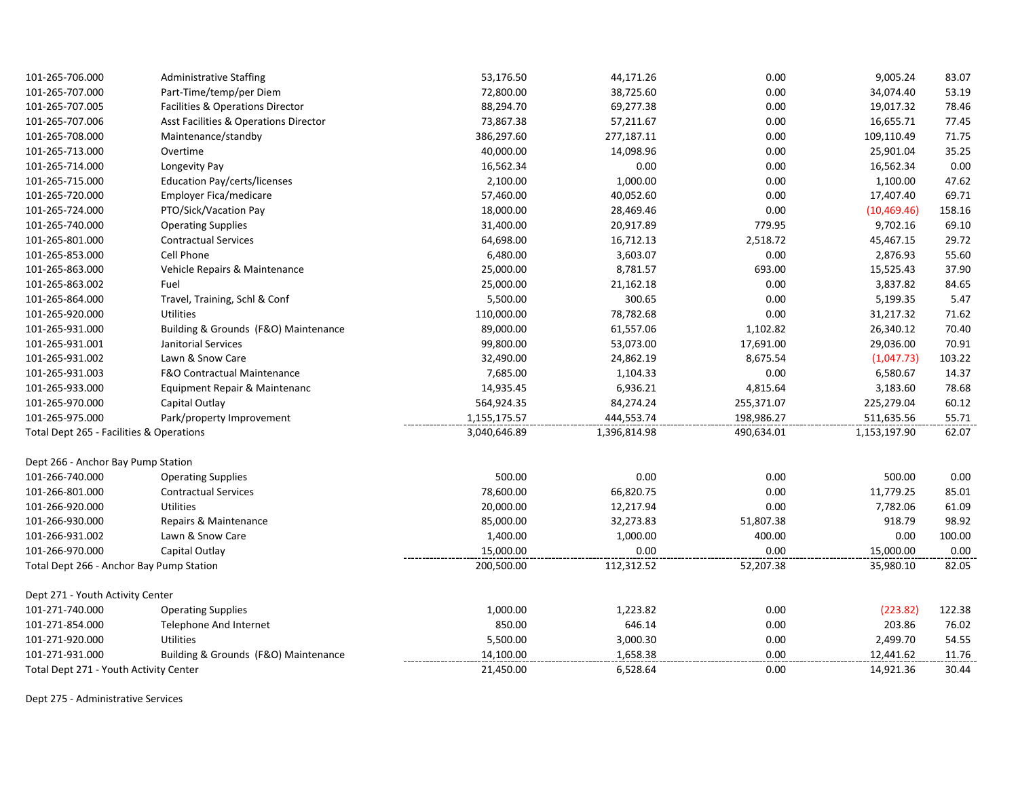| 101-265-706.000                          | <b>Administrative Staffing</b>        | 53,176.50    | 44,171.26    | 0.00       | 9,005.24     | 83.07  |
|------------------------------------------|---------------------------------------|--------------|--------------|------------|--------------|--------|
| 101-265-707.000                          | Part-Time/temp/per Diem               | 72,800.00    | 38,725.60    | 0.00       | 34,074.40    | 53.19  |
| 101-265-707.005                          | Facilities & Operations Director      | 88,294.70    | 69,277.38    | 0.00       | 19,017.32    | 78.46  |
| 101-265-707.006                          | Asst Facilities & Operations Director | 73,867.38    | 57,211.67    | 0.00       | 16,655.71    | 77.45  |
| 101-265-708.000                          | Maintenance/standby                   | 386,297.60   | 277,187.11   | 0.00       | 109,110.49   | 71.75  |
| 101-265-713.000                          | Overtime                              | 40,000.00    | 14,098.96    | 0.00       | 25,901.04    | 35.25  |
| 101-265-714.000                          | Longevity Pay                         | 16,562.34    | 0.00         | 0.00       | 16,562.34    | 0.00   |
| 101-265-715.000                          | <b>Education Pay/certs/licenses</b>   | 2,100.00     | 1,000.00     | 0.00       | 1,100.00     | 47.62  |
| 101-265-720.000                          | Employer Fica/medicare                | 57,460.00    | 40,052.60    | 0.00       | 17,407.40    | 69.71  |
| 101-265-724.000                          | PTO/Sick/Vacation Pay                 | 18,000.00    | 28,469.46    | 0.00       | (10, 469.46) | 158.16 |
| 101-265-740.000                          | <b>Operating Supplies</b>             | 31,400.00    | 20,917.89    | 779.95     | 9,702.16     | 69.10  |
| 101-265-801.000                          | <b>Contractual Services</b>           | 64,698.00    | 16,712.13    | 2,518.72   | 45,467.15    | 29.72  |
| 101-265-853.000                          | Cell Phone                            | 6,480.00     | 3,603.07     | 0.00       | 2,876.93     | 55.60  |
| 101-265-863.000                          | Vehicle Repairs & Maintenance         | 25,000.00    | 8,781.57     | 693.00     | 15,525.43    | 37.90  |
| 101-265-863.002                          | Fuel                                  | 25,000.00    | 21,162.18    | 0.00       | 3,837.82     | 84.65  |
| 101-265-864.000                          | Travel, Training, Schl & Conf         | 5,500.00     | 300.65       | 0.00       | 5,199.35     | 5.47   |
| 101-265-920.000                          | <b>Utilities</b>                      | 110,000.00   | 78,782.68    | 0.00       | 31,217.32    | 71.62  |
| 101-265-931.000                          | Building & Grounds (F&O) Maintenance  | 89,000.00    | 61,557.06    | 1,102.82   | 26,340.12    | 70.40  |
| 101-265-931.001                          | Janitorial Services                   | 99,800.00    | 53,073.00    | 17,691.00  | 29,036.00    | 70.91  |
| 101-265-931.002                          | Lawn & Snow Care                      | 32,490.00    | 24,862.19    | 8,675.54   | (1,047.73)   | 103.22 |
| 101-265-931.003                          | F&O Contractual Maintenance           | 7,685.00     | 1,104.33     | 0.00       | 6,580.67     | 14.37  |
| 101-265-933.000                          | Equipment Repair & Maintenanc         | 14,935.45    | 6,936.21     | 4,815.64   | 3,183.60     | 78.68  |
| 101-265-970.000                          | Capital Outlay                        | 564,924.35   | 84,274.24    | 255,371.07 | 225,279.04   | 60.12  |
| 101-265-975.000                          | Park/property Improvement             | 1,155,175.57 | 444,553.74   | 198,986.27 | 511,635.56   | 55.71  |
| Total Dept 265 - Facilities & Operations |                                       | 3,040,646.89 | 1,396,814.98 | 490,634.01 | 1,153,197.90 | 62.07  |
| Dept 266 - Anchor Bay Pump Station       |                                       |              |              |            |              |        |
| 101-266-740.000                          | <b>Operating Supplies</b>             | 500.00       | 0.00         | 0.00       | 500.00       | 0.00   |
| 101-266-801.000                          | <b>Contractual Services</b>           | 78,600.00    | 66,820.75    | 0.00       | 11,779.25    | 85.01  |
| 101-266-920.000                          | <b>Utilities</b>                      | 20,000.00    | 12,217.94    | 0.00       | 7,782.06     | 61.09  |
| 101-266-930.000                          | Repairs & Maintenance                 | 85,000.00    | 32,273.83    | 51,807.38  | 918.79       | 98.92  |
| 101-266-931.002                          | Lawn & Snow Care                      | 1,400.00     | 1,000.00     | 400.00     | 0.00         | 100.00 |
| 101-266-970.000                          | Capital Outlay                        | 15,000.00    | 0.00         | 0.00       | 15,000.00    | 0.00   |
| Total Dept 266 - Anchor Bay Pump Station |                                       | 200,500.00   | 112,312.52   | 52,207.38  | 35,980.10    | 82.05  |
| Dept 271 - Youth Activity Center         |                                       |              |              |            |              |        |
| 101-271-740.000                          | <b>Operating Supplies</b>             | 1,000.00     | 1,223.82     | 0.00       | (223.82)     | 122.38 |
| 101-271-854.000                          | Telephone And Internet                | 850.00       | 646.14       | 0.00       | 203.86       | 76.02  |
| 101-271-920.000                          | <b>Utilities</b>                      | 5,500.00     | 3,000.30     | 0.00       | 2,499.70     | 54.55  |
| 101-271-931.000                          | Building & Grounds (F&O) Maintenance  | 14,100.00    | 1,658.38     | 0.00       | 12,441.62    | 11.76  |
| Total Dept 271 - Youth Activity Center   |                                       | 21,450.00    | 6,528.64     | 0.00       | 14,921.36    | 30.44  |

Dept 275 ‐ Administrative Services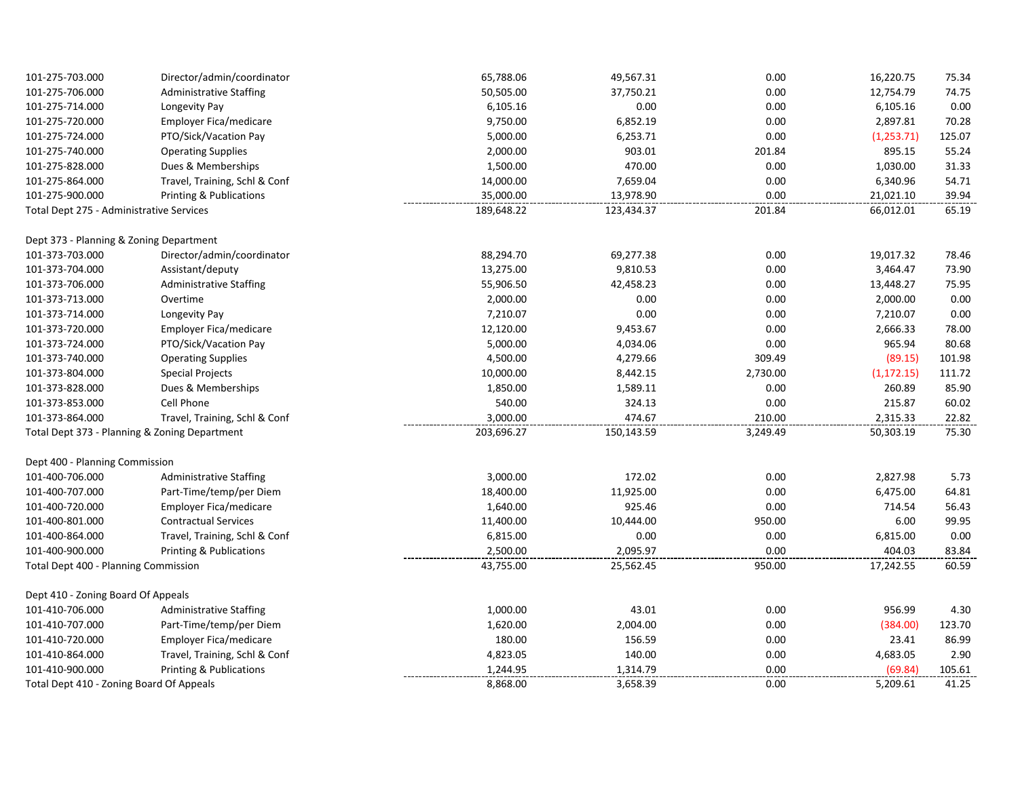| 101-275-703.000                          | Director/admin/coordinator                    | 65,788.06  | 49,567.31  | 0.00     | 16,220.75   | 75.34  |
|------------------------------------------|-----------------------------------------------|------------|------------|----------|-------------|--------|
| 101-275-706.000                          | <b>Administrative Staffing</b>                | 50,505.00  | 37,750.21  | 0.00     | 12,754.79   | 74.75  |
| 101-275-714.000                          | Longevity Pay                                 | 6,105.16   | 0.00       | 0.00     | 6,105.16    | 0.00   |
| 101-275-720.000                          | Employer Fica/medicare                        | 9,750.00   | 6,852.19   | 0.00     | 2,897.81    | 70.28  |
| 101-275-724.000                          | PTO/Sick/Vacation Pay                         | 5,000.00   | 6,253.71   | 0.00     | (1,253.71)  | 125.07 |
| 101-275-740.000                          | <b>Operating Supplies</b>                     | 2,000.00   | 903.01     | 201.84   | 895.15      | 55.24  |
| 101-275-828.000                          | Dues & Memberships                            | 1,500.00   | 470.00     | 0.00     | 1,030.00    | 31.33  |
| 101-275-864.000                          | Travel, Training, Schl & Conf                 | 14,000.00  | 7,659.04   | 0.00     | 6,340.96    | 54.71  |
| 101-275-900.000                          | <b>Printing &amp; Publications</b>            | 35,000.00  | 13,978.90  | 0.00     | 21,021.10   | 39.94  |
| Total Dept 275 - Administrative Services |                                               | 189,648.22 | 123,434.37 | 201.84   | 66,012.01   | 65.19  |
| Dept 373 - Planning & Zoning Department  |                                               |            |            |          |             |        |
| 101-373-703.000                          | Director/admin/coordinator                    | 88,294.70  | 69,277.38  | 0.00     | 19,017.32   | 78.46  |
| 101-373-704.000                          | Assistant/deputy                              | 13,275.00  | 9,810.53   | 0.00     | 3,464.47    | 73.90  |
| 101-373-706.000                          | <b>Administrative Staffing</b>                | 55,906.50  | 42,458.23  | 0.00     | 13,448.27   | 75.95  |
| 101-373-713.000                          | Overtime                                      | 2,000.00   | 0.00       | 0.00     | 2,000.00    | 0.00   |
| 101-373-714.000                          | Longevity Pay                                 | 7,210.07   | 0.00       | 0.00     | 7,210.07    | 0.00   |
| 101-373-720.000                          | Employer Fica/medicare                        | 12,120.00  | 9,453.67   | 0.00     | 2,666.33    | 78.00  |
| 101-373-724.000                          | PTO/Sick/Vacation Pay                         | 5,000.00   | 4,034.06   | 0.00     | 965.94      | 80.68  |
| 101-373-740.000                          | <b>Operating Supplies</b>                     | 4,500.00   | 4,279.66   | 309.49   | (89.15)     | 101.98 |
| 101-373-804.000                          | <b>Special Projects</b>                       | 10,000.00  | 8,442.15   | 2,730.00 | (1, 172.15) | 111.72 |
| 101-373-828.000                          | Dues & Memberships                            | 1,850.00   | 1,589.11   | 0.00     | 260.89      | 85.90  |
| 101-373-853.000                          | Cell Phone                                    | 540.00     | 324.13     | 0.00     | 215.87      | 60.02  |
| 101-373-864.000                          | Travel, Training, Schl & Conf                 | 3,000.00   | 474.67     | 210.00   | 2,315.33    | 22.82  |
|                                          | Total Dept 373 - Planning & Zoning Department | 203,696.27 | 150,143.59 | 3,249.49 | 50,303.19   | 75.30  |
| Dept 400 - Planning Commission           |                                               |            |            |          |             |        |
| 101-400-706.000                          | <b>Administrative Staffing</b>                | 3,000.00   | 172.02     | 0.00     | 2,827.98    | 5.73   |
| 101-400-707.000                          | Part-Time/temp/per Diem                       | 18,400.00  | 11,925.00  | 0.00     | 6,475.00    | 64.81  |
| 101-400-720.000                          | Employer Fica/medicare                        | 1,640.00   | 925.46     | 0.00     | 714.54      | 56.43  |
| 101-400-801.000                          | <b>Contractual Services</b>                   | 11,400.00  | 10,444.00  | 950.00   | 6.00        | 99.95  |
| 101-400-864.000                          | Travel, Training, Schl & Conf                 | 6,815.00   | 0.00       | 0.00     | 6,815.00    | 0.00   |
| 101-400-900.000                          | Printing & Publications                       | 2,500.00   | 2,095.97   | 0.00     | 404.03      | 83.84  |
| Total Dept 400 - Planning Commission     |                                               | 43,755.00  | 25,562.45  | 950.00   | 17,242.55   | 60.59  |
| Dept 410 - Zoning Board Of Appeals       |                                               |            |            |          |             |        |
| 101-410-706.000                          | <b>Administrative Staffing</b>                | 1,000.00   | 43.01      | 0.00     | 956.99      | 4.30   |
| 101-410-707.000                          | Part-Time/temp/per Diem                       | 1,620.00   | 2,004.00   | 0.00     | (384.00)    | 123.70 |
| 101-410-720.000                          | Employer Fica/medicare                        | 180.00     | 156.59     | 0.00     | 23.41       | 86.99  |
| 101-410-864.000                          | Travel, Training, Schl & Conf                 | 4,823.05   | 140.00     | 0.00     | 4,683.05    | 2.90   |
| 101-410-900.000                          | Printing & Publications                       | 1,244.95   | 1,314.79   | 0.00     | (69.84)     | 105.61 |
| Total Dept 410 - Zoning Board Of Appeals |                                               | 8,868.00   | 3,658.39   | 0.00     | 5,209.61    | 41.25  |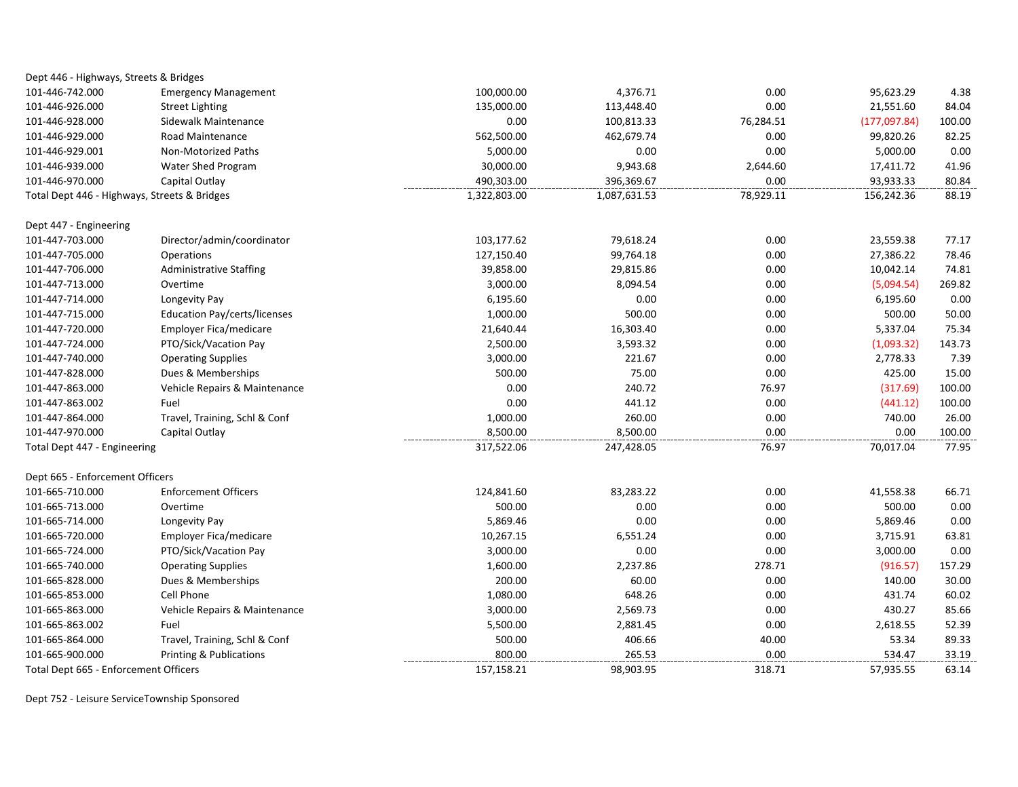| Dept 446 - Highways, Streets & Bridges       |                                     |              |              |           |              |        |
|----------------------------------------------|-------------------------------------|--------------|--------------|-----------|--------------|--------|
| 101-446-742.000                              | <b>Emergency Management</b>         | 100,000.00   | 4,376.71     | 0.00      | 95,623.29    | 4.38   |
| 101-446-926.000                              | <b>Street Lighting</b>              | 135,000.00   | 113,448.40   | 0.00      | 21,551.60    | 84.04  |
| 101-446-928.000                              | Sidewalk Maintenance                | 0.00         | 100,813.33   | 76,284.51 | (177,097.84) | 100.00 |
| 101-446-929.000                              | <b>Road Maintenance</b>             | 562,500.00   | 462,679.74   | 0.00      | 99,820.26    | 82.25  |
| 101-446-929.001                              | Non-Motorized Paths                 | 5,000.00     | 0.00         | 0.00      | 5,000.00     | 0.00   |
| 101-446-939.000                              | <b>Water Shed Program</b>           | 30,000.00    | 9,943.68     | 2,644.60  | 17,411.72    | 41.96  |
| 101-446-970.000                              | Capital Outlay                      | 490,303.00   | 396,369.67   | 0.00      | 93,933.33    | 80.84  |
| Total Dept 446 - Highways, Streets & Bridges |                                     | 1,322,803.00 | 1,087,631.53 | 78,929.11 | 156,242.36   | 88.19  |
|                                              |                                     |              |              |           |              |        |
| Dept 447 - Engineering                       |                                     |              |              |           |              |        |
| 101-447-703.000                              | Director/admin/coordinator          | 103,177.62   | 79,618.24    | 0.00      | 23,559.38    | 77.17  |
| 101-447-705.000                              | Operations                          | 127,150.40   | 99,764.18    | 0.00      | 27,386.22    | 78.46  |
| 101-447-706.000                              | <b>Administrative Staffing</b>      | 39,858.00    | 29,815.86    | 0.00      | 10,042.14    | 74.81  |
| 101-447-713.000                              | Overtime                            | 3,000.00     | 8,094.54     | 0.00      | (5,094.54)   | 269.82 |
| 101-447-714.000                              | Longevity Pay                       | 6,195.60     | 0.00         | 0.00      | 6,195.60     | 0.00   |
| 101-447-715.000                              | <b>Education Pay/certs/licenses</b> | 1,000.00     | 500.00       | 0.00      | 500.00       | 50.00  |
| 101-447-720.000                              | Employer Fica/medicare              | 21,640.44    | 16,303.40    | 0.00      | 5,337.04     | 75.34  |
| 101-447-724.000                              | PTO/Sick/Vacation Pay               | 2,500.00     | 3,593.32     | 0.00      | (1,093.32)   | 143.73 |
| 101-447-740.000                              | <b>Operating Supplies</b>           | 3,000.00     | 221.67       | 0.00      | 2,778.33     | 7.39   |
| 101-447-828.000                              | Dues & Memberships                  | 500.00       | 75.00        | 0.00      | 425.00       | 15.00  |
| 101-447-863.000                              | Vehicle Repairs & Maintenance       | 0.00         | 240.72       | 76.97     | (317.69)     | 100.00 |
| 101-447-863.002                              | Fuel                                | 0.00         | 441.12       | 0.00      | (441.12)     | 100.00 |
| 101-447-864.000                              | Travel, Training, Schl & Conf       | 1,000.00     | 260.00       | 0.00      | 740.00       | 26.00  |
| 101-447-970.000                              | Capital Outlay                      | 8,500.00     | 8,500.00     | 0.00      | 0.00         | 100.00 |
| Total Dept 447 - Engineering                 |                                     | 317,522.06   | 247,428.05   | 76.97     | 70,017.04    | 77.95  |
| Dept 665 - Enforcement Officers              |                                     |              |              |           |              |        |
| 101-665-710.000                              | <b>Enforcement Officers</b>         | 124,841.60   | 83,283.22    | 0.00      | 41,558.38    | 66.71  |
| 101-665-713.000                              | Overtime                            | 500.00       |              | 0.00      | 500.00       | 0.00   |
|                                              |                                     | 5,869.46     | 0.00<br>0.00 |           |              | 0.00   |
| 101-665-714.000                              | Longevity Pay                       |              |              | 0.00      | 5,869.46     |        |
| 101-665-720.000                              | Employer Fica/medicare              | 10,267.15    | 6,551.24     | 0.00      | 3,715.91     | 63.81  |
| 101-665-724.000                              | PTO/Sick/Vacation Pay               | 3,000.00     | 0.00         | 0.00      | 3,000.00     | 0.00   |
| 101-665-740.000                              | <b>Operating Supplies</b>           | 1,600.00     | 2,237.86     | 278.71    | (916.57)     | 157.29 |
| 101-665-828.000                              | Dues & Memberships                  | 200.00       | 60.00        | 0.00      | 140.00       | 30.00  |
| 101-665-853.000                              | Cell Phone                          | 1,080.00     | 648.26       | 0.00      | 431.74       | 60.02  |
| 101-665-863.000                              | Vehicle Repairs & Maintenance       | 3,000.00     | 2,569.73     | 0.00      | 430.27       | 85.66  |
| 101-665-863.002                              | Fuel                                | 5,500.00     | 2,881.45     | 0.00      | 2,618.55     | 52.39  |
| 101-665-864.000                              | Travel, Training, Schl & Conf       | 500.00       | 406.66       | 40.00     | 53.34        | 89.33  |
| 101-665-900.000                              | Printing & Publications             | 800.00       | 265.53       | 0.00      | 534.47       | 33.19  |
| Total Dept 665 - Enforcement Officers        |                                     | 157,158.21   | 98,903.95    | 318.71    | 57,935.55    | 63.14  |

Dept 752 ‐ Leisure ServiceTownship Sponsored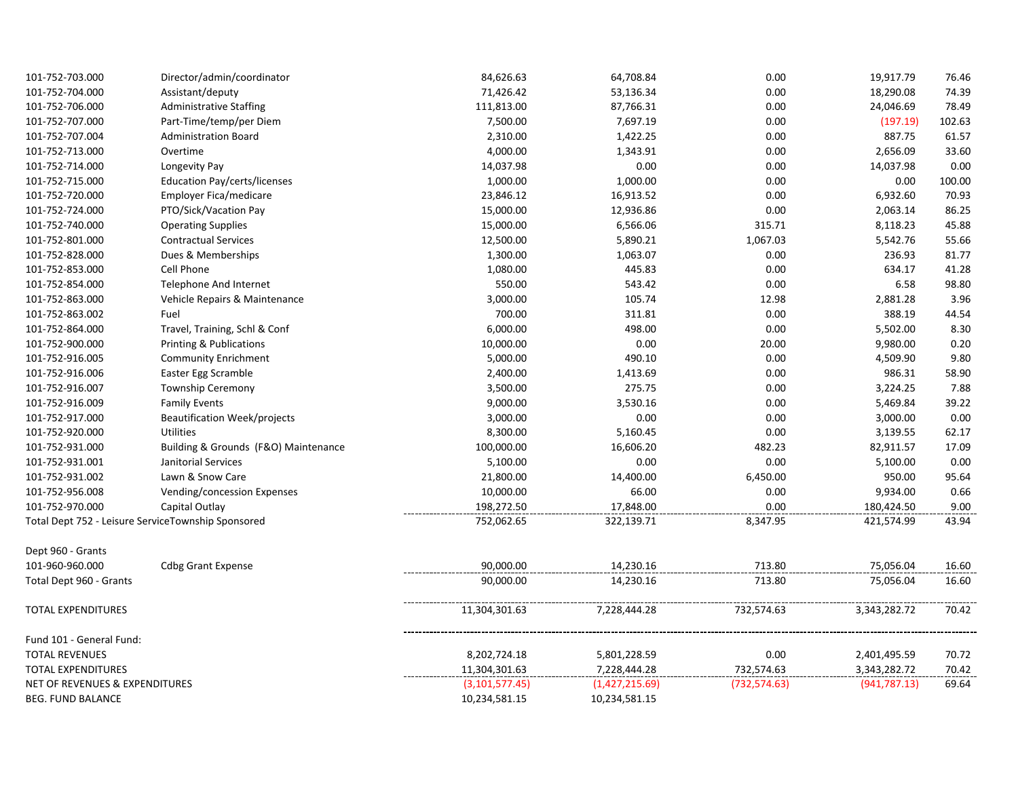| 101-752-703.000                | Director/admin/coordinator                         | 84,626.63        | 64,708.84      | 0.00          | 19,917.79     | 76.46  |
|--------------------------------|----------------------------------------------------|------------------|----------------|---------------|---------------|--------|
| 101-752-704.000                | Assistant/deputy                                   | 71,426.42        | 53,136.34      | 0.00          | 18,290.08     | 74.39  |
| 101-752-706.000                | <b>Administrative Staffing</b>                     | 111,813.00       | 87,766.31      | 0.00          | 24,046.69     | 78.49  |
| 101-752-707.000                | Part-Time/temp/per Diem                            | 7,500.00         | 7,697.19       | 0.00          | (197.19)      | 102.63 |
| 101-752-707.004                | <b>Administration Board</b>                        | 2,310.00         | 1,422.25       | 0.00          | 887.75        | 61.57  |
| 101-752-713.000                | Overtime                                           | 4,000.00         | 1,343.91       | 0.00          | 2,656.09      | 33.60  |
| 101-752-714.000                | Longevity Pay                                      | 14,037.98        | 0.00           | 0.00          | 14,037.98     | 0.00   |
| 101-752-715.000                | <b>Education Pay/certs/licenses</b>                | 1,000.00         | 1,000.00       | 0.00          | 0.00          | 100.00 |
| 101-752-720.000                | Employer Fica/medicare                             | 23,846.12        | 16,913.52      | 0.00          | 6,932.60      | 70.93  |
| 101-752-724.000                | PTO/Sick/Vacation Pay                              | 15,000.00        | 12,936.86      | 0.00          | 2,063.14      | 86.25  |
| 101-752-740.000                | <b>Operating Supplies</b>                          | 15,000.00        | 6,566.06       | 315.71        | 8,118.23      | 45.88  |
| 101-752-801.000                | <b>Contractual Services</b>                        | 12,500.00        | 5,890.21       | 1,067.03      | 5,542.76      | 55.66  |
| 101-752-828.000                | Dues & Memberships                                 | 1,300.00         | 1,063.07       | 0.00          | 236.93        | 81.77  |
| 101-752-853.000                | Cell Phone                                         | 1,080.00         | 445.83         | 0.00          | 634.17        | 41.28  |
| 101-752-854.000                | <b>Telephone And Internet</b>                      | 550.00           | 543.42         | 0.00          | 6.58          | 98.80  |
| 101-752-863.000                | Vehicle Repairs & Maintenance                      | 3,000.00         | 105.74         | 12.98         | 2,881.28      | 3.96   |
| 101-752-863.002                | Fuel                                               | 700.00           | 311.81         | 0.00          | 388.19        | 44.54  |
| 101-752-864.000                | Travel, Training, Schl & Conf                      | 6,000.00         | 498.00         | 0.00          | 5,502.00      | 8.30   |
| 101-752-900.000                | Printing & Publications                            | 10,000.00        | 0.00           | 20.00         | 9,980.00      | 0.20   |
| 101-752-916.005                | <b>Community Enrichment</b>                        | 5,000.00         | 490.10         | 0.00          | 4,509.90      | 9.80   |
| 101-752-916.006                | Easter Egg Scramble                                | 2,400.00         | 1,413.69       | 0.00          | 986.31        | 58.90  |
| 101-752-916.007                | <b>Township Ceremony</b>                           | 3,500.00         | 275.75         | 0.00          | 3,224.25      | 7.88   |
| 101-752-916.009                | <b>Family Events</b>                               | 9,000.00         | 3,530.16       | 0.00          | 5,469.84      | 39.22  |
| 101-752-917.000                | <b>Beautification Week/projects</b>                | 3,000.00         | 0.00           | 0.00          | 3,000.00      | 0.00   |
| 101-752-920.000                | <b>Utilities</b>                                   | 8,300.00         | 5,160.45       | 0.00          | 3,139.55      | 62.17  |
| 101-752-931.000                | Building & Grounds (F&O) Maintenance               | 100,000.00       | 16,606.20      | 482.23        | 82,911.57     | 17.09  |
| 101-752-931.001                | Janitorial Services                                | 5,100.00         | 0.00           | 0.00          | 5,100.00      | 0.00   |
| 101-752-931.002                | Lawn & Snow Care                                   | 21,800.00        | 14,400.00      | 6,450.00      | 950.00        | 95.64  |
| 101-752-956.008                | Vending/concession Expenses                        | 10,000.00        | 66.00          | 0.00          | 9,934.00      | 0.66   |
| 101-752-970.000                | Capital Outlay                                     | 198,272.50       | 17,848.00      | 0.00          | 180,424.50    | 9.00   |
|                                | Total Dept 752 - Leisure ServiceTownship Sponsored | 752,062.65       | 322,139.71     | 8,347.95      | 421,574.99    | 43.94  |
| Dept 960 - Grants              |                                                    |                  |                |               |               |        |
| 101-960-960.000                | <b>Cdbg Grant Expense</b>                          | 90,000.00        | 14,230.16      | 713.80        | 75,056.04     | 16.60  |
| Total Dept 960 - Grants        |                                                    | 90,000.00        | 14,230.16      | 713.80        | 75,056.04     | 16.60  |
| <b>TOTAL EXPENDITURES</b>      |                                                    | 11,304,301.63    | 7,228,444.28   | 732,574.63    | 3,343,282.72  | 70.42  |
| Fund 101 - General Fund:       |                                                    |                  |                |               |               |        |
| <b>TOTAL REVENUES</b>          |                                                    | 8,202,724.18     | 5,801,228.59   | 0.00          | 2,401,495.59  | 70.72  |
| <b>TOTAL EXPENDITURES</b>      |                                                    | 11,304,301.63    | 7,228,444.28   | 732,574.63    | 3,343,282.72  | 70.42  |
| NET OF REVENUES & EXPENDITURES |                                                    | (3, 101, 577.45) | (1,427,215.69) | (732, 574.63) | (941, 787.13) | 69.64  |
| <b>BEG. FUND BALANCE</b>       |                                                    | 10,234,581.15    | 10,234,581.15  |               |               |        |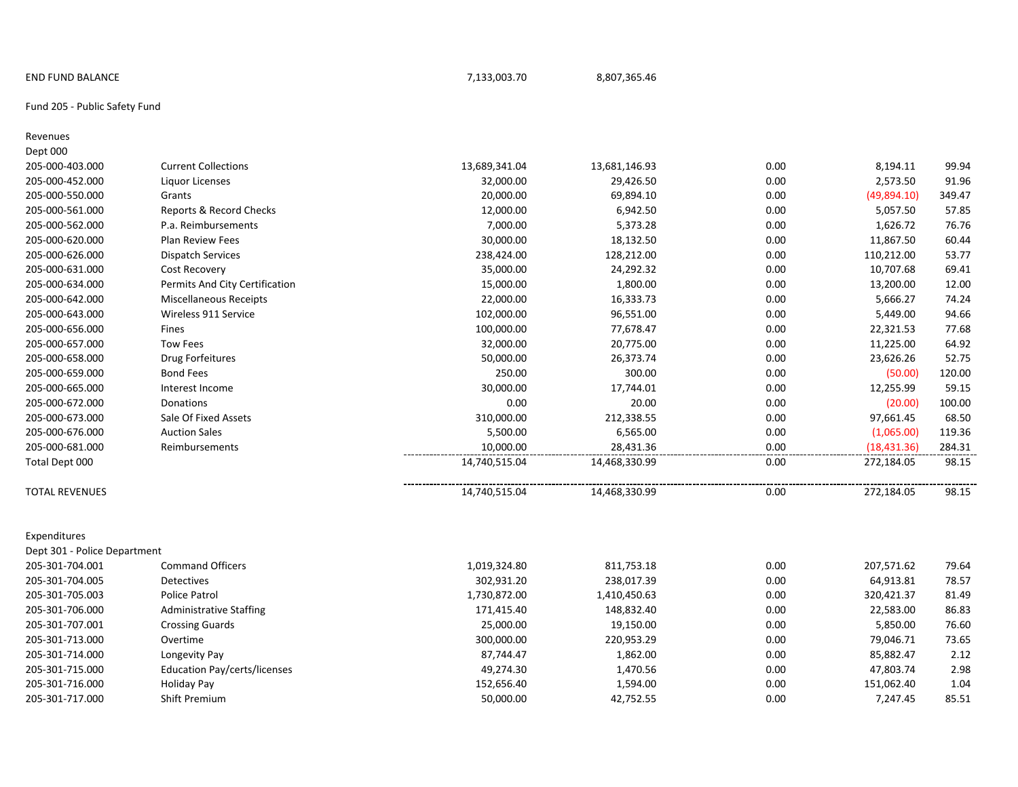END FUND BALANCE 7,133,003.70 8,807,365.46

## Fund 205 ‐ Public Safety Fund

| Revenues                     |                                     |               |               |      |              |        |
|------------------------------|-------------------------------------|---------------|---------------|------|--------------|--------|
| Dept 000                     |                                     |               |               |      |              |        |
| 205-000-403.000              | <b>Current Collections</b>          | 13,689,341.04 | 13,681,146.93 | 0.00 | 8,194.11     | 99.94  |
| 205-000-452.000              | <b>Liquor Licenses</b>              | 32,000.00     | 29,426.50     | 0.00 | 2,573.50     | 91.96  |
| 205-000-550.000              | Grants                              | 20,000.00     | 69,894.10     | 0.00 | (49,894.10)  | 349.47 |
| 205-000-561.000              | Reports & Record Checks             | 12,000.00     | 6,942.50      | 0.00 | 5,057.50     | 57.85  |
| 205-000-562.000              | P.a. Reimbursements                 | 7,000.00      | 5,373.28      | 0.00 | 1,626.72     | 76.76  |
| 205-000-620.000              | <b>Plan Review Fees</b>             | 30,000.00     | 18,132.50     | 0.00 | 11,867.50    | 60.44  |
| 205-000-626.000              | <b>Dispatch Services</b>            | 238,424.00    | 128,212.00    | 0.00 | 110,212.00   | 53.77  |
| 205-000-631.000              | <b>Cost Recovery</b>                | 35,000.00     | 24,292.32     | 0.00 | 10,707.68    | 69.41  |
| 205-000-634.000              | Permits And City Certification      | 15,000.00     | 1,800.00      | 0.00 | 13,200.00    | 12.00  |
| 205-000-642.000              | <b>Miscellaneous Receipts</b>       | 22,000.00     | 16,333.73     | 0.00 | 5,666.27     | 74.24  |
| 205-000-643.000              | Wireless 911 Service                | 102,000.00    | 96,551.00     | 0.00 | 5,449.00     | 94.66  |
| 205-000-656.000              | Fines                               | 100,000.00    | 77,678.47     | 0.00 | 22,321.53    | 77.68  |
| 205-000-657.000              | <b>Tow Fees</b>                     | 32,000.00     | 20,775.00     | 0.00 | 11,225.00    | 64.92  |
| 205-000-658.000              | Drug Forfeitures                    | 50,000.00     | 26,373.74     | 0.00 | 23,626.26    | 52.75  |
| 205-000-659.000              | <b>Bond Fees</b>                    | 250.00        | 300.00        | 0.00 | (50.00)      | 120.00 |
| 205-000-665.000              | Interest Income                     | 30,000.00     | 17,744.01     | 0.00 | 12,255.99    | 59.15  |
| 205-000-672.000              | Donations                           | 0.00          | 20.00         | 0.00 | (20.00)      | 100.00 |
| 205-000-673.000              | Sale Of Fixed Assets                | 310,000.00    | 212,338.55    | 0.00 | 97,661.45    | 68.50  |
| 205-000-676.000              | <b>Auction Sales</b>                | 5,500.00      | 6,565.00      | 0.00 | (1,065.00)   | 119.36 |
| 205-000-681.000              | Reimbursements                      | 10,000.00     | 28,431.36     | 0.00 | (18, 431.36) | 284.31 |
| Total Dept 000               |                                     | 14,740,515.04 | 14,468,330.99 | 0.00 | 272,184.05   | 98.15  |
| <b>TOTAL REVENUES</b>        |                                     | 14,740,515.04 | 14,468,330.99 | 0.00 | 272,184.05   | 98.15  |
|                              |                                     |               |               |      |              |        |
| Expenditures                 |                                     |               |               |      |              |        |
| Dept 301 - Police Department |                                     |               |               |      |              |        |
| 205-301-704.001              | <b>Command Officers</b>             | 1,019,324.80  | 811,753.18    | 0.00 | 207,571.62   | 79.64  |
| 205-301-704.005              | <b>Detectives</b>                   | 302,931.20    | 238,017.39    | 0.00 | 64,913.81    | 78.57  |
| 205-301-705.003              | <b>Police Patrol</b>                | 1,730,872.00  | 1,410,450.63  | 0.00 | 320,421.37   | 81.49  |
| 205-301-706.000              | <b>Administrative Staffing</b>      | 171,415.40    | 148,832.40    | 0.00 | 22,583.00    | 86.83  |
| 205-301-707.001              | <b>Crossing Guards</b>              | 25,000.00     | 19,150.00     | 0.00 | 5,850.00     | 76.60  |
| 205-301-713.000              | Overtime                            | 300,000.00    | 220,953.29    | 0.00 | 79,046.71    | 73.65  |
| 205-301-714.000              | Longevity Pay                       | 87,744.47     | 1,862.00      | 0.00 | 85,882.47    | 2.12   |
| 205-301-715.000              | <b>Education Pay/certs/licenses</b> | 49,274.30     | 1,470.56      | 0.00 | 47,803.74    | 2.98   |
| 205-301-716.000              | <b>Holiday Pay</b>                  | 152,656.40    | 1,594.00      | 0.00 | 151,062.40   | 1.04   |
| 205-301-717.000              | <b>Shift Premium</b>                | 50,000.00     | 42,752.55     | 0.00 | 7,247.45     | 85.51  |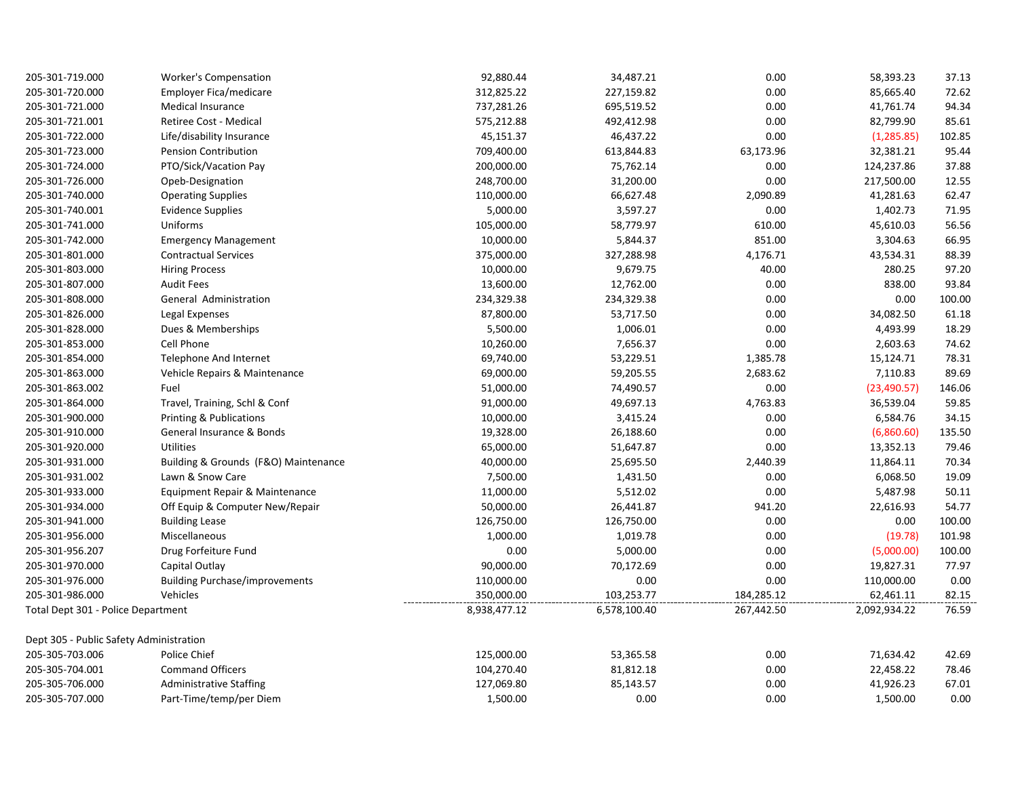| 205-301-719.000                         | <b>Worker's Compensation</b>          | 92,880.44    | 34,487.21    | 0.00       | 58,393.23    | 37.13  |
|-----------------------------------------|---------------------------------------|--------------|--------------|------------|--------------|--------|
| 205-301-720.000                         | Employer Fica/medicare                | 312,825.22   | 227,159.82   | 0.00       | 85,665.40    | 72.62  |
| 205-301-721.000                         | Medical Insurance                     | 737,281.26   | 695,519.52   | 0.00       | 41,761.74    | 94.34  |
| 205-301-721.001                         | Retiree Cost - Medical                | 575,212.88   | 492,412.98   | 0.00       | 82,799.90    | 85.61  |
| 205-301-722.000                         | Life/disability Insurance             | 45,151.37    | 46,437.22    | 0.00       | (1, 285.85)  | 102.85 |
| 205-301-723.000                         | Pension Contribution                  | 709,400.00   | 613,844.83   | 63,173.96  | 32,381.21    | 95.44  |
| 205-301-724.000                         | PTO/Sick/Vacation Pay                 | 200,000.00   | 75,762.14    | 0.00       | 124,237.86   | 37.88  |
| 205-301-726.000                         | Opeb-Designation                      | 248,700.00   | 31,200.00    | 0.00       | 217,500.00   | 12.55  |
| 205-301-740.000                         | <b>Operating Supplies</b>             | 110,000.00   | 66,627.48    | 2,090.89   | 41,281.63    | 62.47  |
| 205-301-740.001                         | <b>Evidence Supplies</b>              | 5,000.00     | 3,597.27     | 0.00       | 1,402.73     | 71.95  |
| 205-301-741.000                         | Uniforms                              | 105,000.00   | 58,779.97    | 610.00     | 45,610.03    | 56.56  |
| 205-301-742.000                         | <b>Emergency Management</b>           | 10,000.00    | 5,844.37     | 851.00     | 3,304.63     | 66.95  |
| 205-301-801.000                         | <b>Contractual Services</b>           | 375,000.00   | 327,288.98   | 4,176.71   | 43,534.31    | 88.39  |
| 205-301-803.000                         | <b>Hiring Process</b>                 | 10,000.00    | 9,679.75     | 40.00      | 280.25       | 97.20  |
| 205-301-807.000                         | <b>Audit Fees</b>                     | 13,600.00    | 12,762.00    | 0.00       | 838.00       | 93.84  |
| 205-301-808.000                         | General Administration                | 234,329.38   | 234,329.38   | 0.00       | 0.00         | 100.00 |
| 205-301-826.000                         | Legal Expenses                        | 87,800.00    | 53,717.50    | 0.00       | 34,082.50    | 61.18  |
| 205-301-828.000                         | Dues & Memberships                    | 5,500.00     | 1,006.01     | 0.00       | 4,493.99     | 18.29  |
| 205-301-853.000                         | Cell Phone                            | 10,260.00    | 7,656.37     | 0.00       | 2,603.63     | 74.62  |
| 205-301-854.000                         | <b>Telephone And Internet</b>         | 69,740.00    | 53,229.51    | 1,385.78   | 15,124.71    | 78.31  |
| 205-301-863.000                         | Vehicle Repairs & Maintenance         | 69,000.00    | 59,205.55    | 2,683.62   | 7,110.83     | 89.69  |
| 205-301-863.002                         | Fuel                                  | 51,000.00    | 74,490.57    | 0.00       | (23, 490.57) | 146.06 |
| 205-301-864.000                         | Travel, Training, Schl & Conf         | 91,000.00    | 49,697.13    | 4,763.83   | 36,539.04    | 59.85  |
| 205-301-900.000                         | <b>Printing &amp; Publications</b>    | 10,000.00    | 3,415.24     | 0.00       | 6,584.76     | 34.15  |
| 205-301-910.000                         | General Insurance & Bonds             | 19,328.00    | 26,188.60    | 0.00       | (6,860.60)   | 135.50 |
| 205-301-920.000                         | <b>Utilities</b>                      | 65,000.00    | 51,647.87    | 0.00       | 13,352.13    | 79.46  |
| 205-301-931.000                         | Building & Grounds (F&O) Maintenance  | 40,000.00    | 25,695.50    | 2,440.39   | 11,864.11    | 70.34  |
| 205-301-931.002                         | Lawn & Snow Care                      | 7,500.00     | 1,431.50     | 0.00       | 6,068.50     | 19.09  |
| 205-301-933.000                         | Equipment Repair & Maintenance        | 11,000.00    | 5,512.02     | 0.00       | 5,487.98     | 50.11  |
| 205-301-934.000                         | Off Equip & Computer New/Repair       | 50,000.00    | 26,441.87    | 941.20     | 22,616.93    | 54.77  |
| 205-301-941.000                         | <b>Building Lease</b>                 | 126,750.00   | 126,750.00   | 0.00       | 0.00         | 100.00 |
| 205-301-956.000                         | Miscellaneous                         | 1,000.00     | 1,019.78     | 0.00       | (19.78)      | 101.98 |
| 205-301-956.207                         | Drug Forfeiture Fund                  | 0.00         | 5,000.00     | 0.00       | (5,000.00)   | 100.00 |
| 205-301-970.000                         | Capital Outlay                        | 90,000.00    | 70,172.69    | 0.00       | 19,827.31    | 77.97  |
| 205-301-976.000                         | <b>Building Purchase/improvements</b> | 110,000.00   | 0.00         | 0.00       | 110,000.00   | 0.00   |
| 205-301-986.000                         | Vehicles                              | 350,000.00   | 103,253.77   | 184,285.12 | 62,461.11    | 82.15  |
| Total Dept 301 - Police Department      |                                       | 8,938,477.12 | 6,578,100.40 | 267,442.50 | 2,092,934.22 | 76.59  |
| Dept 305 - Public Safety Administration |                                       |              |              |            |              |        |
| 205-305-703.006                         | Police Chief                          | 125,000.00   | 53,365.58    | 0.00       | 71,634.42    | 42.69  |
| 205-305-704.001                         | <b>Command Officers</b>               | 104,270.40   | 81,812.18    | 0.00       | 22,458.22    | 78.46  |
| 205-305-706.000                         | <b>Administrative Staffing</b>        | 127,069.80   | 85,143.57    | 0.00       | 41,926.23    | 67.01  |
| 205-305-707.000                         | Part-Time/temp/per Diem               | 1,500.00     | 0.00         | 0.00       | 1,500.00     | 0.00   |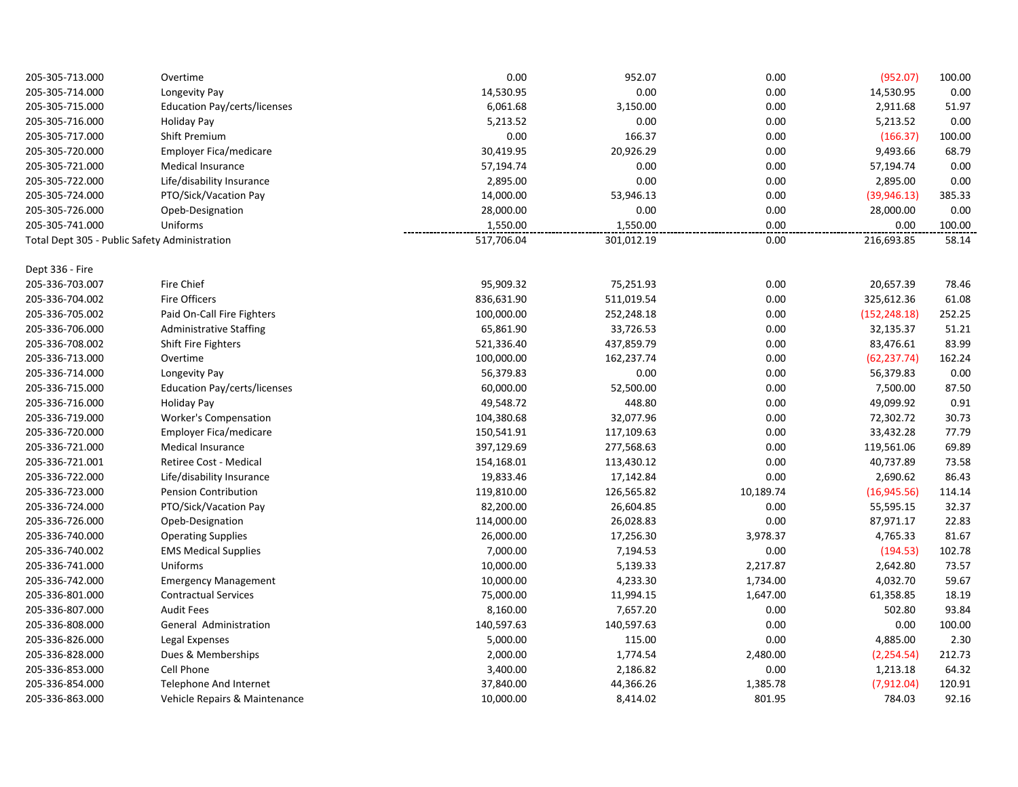| 205-305-713.000                               | Overtime                            | 0.00       | 952.07     | 0.00      | (952.07)      | 100.00 |
|-----------------------------------------------|-------------------------------------|------------|------------|-----------|---------------|--------|
| 205-305-714.000                               | Longevity Pay                       | 14,530.95  | 0.00       | 0.00      | 14,530.95     | 0.00   |
| 205-305-715.000                               | Education Pay/certs/licenses        | 6,061.68   | 3,150.00   | 0.00      | 2,911.68      | 51.97  |
| 205-305-716.000                               | Holiday Pay                         | 5,213.52   | 0.00       | 0.00      | 5,213.52      | 0.00   |
| 205-305-717.000                               | Shift Premium                       | 0.00       | 166.37     | 0.00      | (166.37)      | 100.00 |
| 205-305-720.000                               | Employer Fica/medicare              | 30,419.95  | 20,926.29  | 0.00      | 9,493.66      | 68.79  |
| 205-305-721.000                               | <b>Medical Insurance</b>            | 57,194.74  | 0.00       | 0.00      | 57,194.74     | 0.00   |
| 205-305-722.000                               | Life/disability Insurance           | 2,895.00   | 0.00       | 0.00      | 2,895.00      | 0.00   |
| 205-305-724.000                               | PTO/Sick/Vacation Pay               | 14,000.00  | 53,946.13  | 0.00      | (39, 946.13)  | 385.33 |
| 205-305-726.000                               | Opeb-Designation                    | 28,000.00  | 0.00       | 0.00      | 28,000.00     | 0.00   |
| 205-305-741.000                               | Uniforms                            | 1,550.00   | 1,550.00   | 0.00      | 0.00          | 100.00 |
| Total Dept 305 - Public Safety Administration |                                     | 517,706.04 | 301,012.19 | 0.00      | 216,693.85    | 58.14  |
| Dept 336 - Fire                               |                                     |            |            |           |               |        |
| 205-336-703.007                               | <b>Fire Chief</b>                   | 95,909.32  | 75,251.93  | 0.00      | 20,657.39     | 78.46  |
| 205-336-704.002                               | <b>Fire Officers</b>                | 836,631.90 | 511,019.54 | 0.00      | 325,612.36    | 61.08  |
| 205-336-705.002                               | Paid On-Call Fire Fighters          | 100,000.00 | 252,248.18 | 0.00      | (152, 248.18) | 252.25 |
| 205-336-706.000                               | <b>Administrative Staffing</b>      | 65,861.90  | 33,726.53  | 0.00      | 32,135.37     | 51.21  |
| 205-336-708.002                               | Shift Fire Fighters                 | 521,336.40 | 437,859.79 | 0.00      | 83,476.61     | 83.99  |
| 205-336-713.000                               | Overtime                            | 100,000.00 | 162,237.74 | 0.00      | (62, 237.74)  | 162.24 |
| 205-336-714.000                               | Longevity Pay                       | 56,379.83  | 0.00       | 0.00      | 56,379.83     | 0.00   |
| 205-336-715.000                               | <b>Education Pay/certs/licenses</b> | 60,000.00  | 52,500.00  | 0.00      | 7,500.00      | 87.50  |
| 205-336-716.000                               | <b>Holiday Pay</b>                  | 49,548.72  | 448.80     | 0.00      | 49,099.92     | 0.91   |
| 205-336-719.000                               | <b>Worker's Compensation</b>        | 104,380.68 | 32,077.96  | 0.00      | 72,302.72     | 30.73  |
| 205-336-720.000                               | Employer Fica/medicare              | 150,541.91 | 117,109.63 | 0.00      | 33,432.28     | 77.79  |
| 205-336-721.000                               | Medical Insurance                   | 397,129.69 | 277,568.63 | 0.00      | 119,561.06    | 69.89  |
| 205-336-721.001                               | Retiree Cost - Medical              | 154,168.01 | 113,430.12 | 0.00      | 40,737.89     | 73.58  |
| 205-336-722.000                               | Life/disability Insurance           | 19,833.46  | 17,142.84  | 0.00      | 2,690.62      | 86.43  |
| 205-336-723.000                               | <b>Pension Contribution</b>         | 119,810.00 | 126,565.82 | 10,189.74 | (16,945.56)   | 114.14 |
| 205-336-724.000                               | PTO/Sick/Vacation Pay               | 82,200.00  | 26,604.85  | 0.00      | 55,595.15     | 32.37  |
| 205-336-726.000                               | Opeb-Designation                    | 114,000.00 | 26,028.83  | 0.00      | 87,971.17     | 22.83  |
| 205-336-740.000                               | <b>Operating Supplies</b>           | 26,000.00  | 17,256.30  | 3,978.37  | 4,765.33      | 81.67  |
| 205-336-740.002                               | <b>EMS Medical Supplies</b>         | 7,000.00   | 7,194.53   | 0.00      | (194.53)      | 102.78 |
| 205-336-741.000                               | Uniforms                            | 10,000.00  | 5,139.33   | 2,217.87  | 2,642.80      | 73.57  |
| 205-336-742.000                               | <b>Emergency Management</b>         | 10,000.00  | 4,233.30   | 1,734.00  | 4,032.70      | 59.67  |
| 205-336-801.000                               | <b>Contractual Services</b>         | 75,000.00  | 11,994.15  | 1,647.00  | 61,358.85     | 18.19  |
| 205-336-807.000                               | <b>Audit Fees</b>                   | 8,160.00   | 7,657.20   | 0.00      | 502.80        | 93.84  |
| 205-336-808.000                               | General Administration              | 140,597.63 | 140,597.63 | 0.00      | 0.00          | 100.00 |
| 205-336-826.000                               | Legal Expenses                      | 5,000.00   | 115.00     | 0.00      | 4,885.00      | 2.30   |
| 205-336-828.000                               | Dues & Memberships                  | 2,000.00   | 1,774.54   | 2,480.00  | (2, 254.54)   | 212.73 |
| 205-336-853.000                               | Cell Phone                          | 3,400.00   | 2,186.82   | 0.00      | 1,213.18      | 64.32  |
| 205-336-854.000                               | <b>Telephone And Internet</b>       | 37,840.00  | 44,366.26  | 1,385.78  | (7,912.04)    | 120.91 |
| 205-336-863.000                               | Vehicle Repairs & Maintenance       | 10,000.00  | 8,414.02   | 801.95    | 784.03        | 92.16  |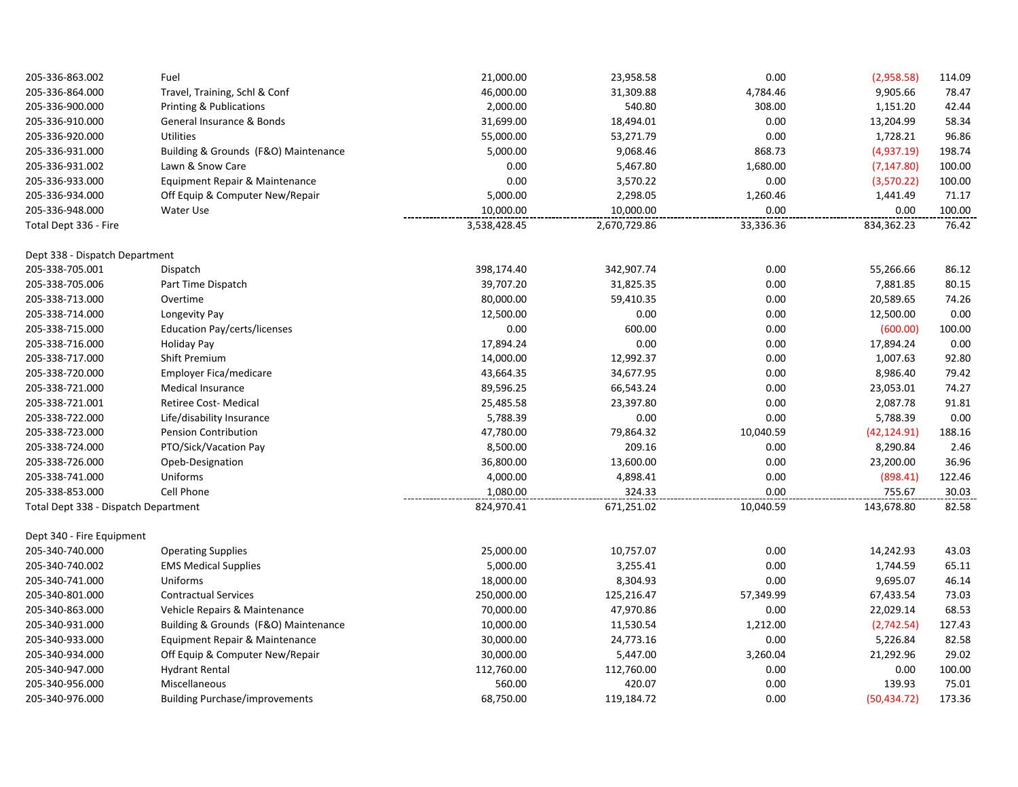| 205-336-863.002                      | Fuel                                  | 21,000.00    | 23,958.58    | 0.00      | (2,958.58)   | 114.09 |
|--------------------------------------|---------------------------------------|--------------|--------------|-----------|--------------|--------|
| 205-336-864.000                      | Travel, Training, Schl & Conf         | 46,000.00    | 31,309.88    | 4,784.46  | 9,905.66     | 78.47  |
| 205-336-900.000                      | <b>Printing &amp; Publications</b>    | 2,000.00     | 540.80       | 308.00    | 1,151.20     | 42.44  |
| 205-336-910.000                      | General Insurance & Bonds             | 31,699.00    | 18,494.01    | 0.00      | 13,204.99    | 58.34  |
| 205-336-920.000                      | <b>Utilities</b>                      | 55,000.00    | 53,271.79    | 0.00      | 1,728.21     | 96.86  |
| 205-336-931.000                      | Building & Grounds (F&O) Maintenance  | 5,000.00     | 9,068.46     | 868.73    | (4,937.19)   | 198.74 |
| 205-336-931.002                      | Lawn & Snow Care                      | 0.00         | 5,467.80     | 1,680.00  | (7, 147.80)  | 100.00 |
| 205-336-933.000                      | Equipment Repair & Maintenance        | 0.00         | 3,570.22     | 0.00      | (3,570.22)   | 100.00 |
| 205-336-934.000                      | Off Equip & Computer New/Repair       | 5,000.00     | 2,298.05     | 1,260.46  | 1,441.49     | 71.17  |
| 205-336-948.000                      | Water Use                             | 10,000.00    | 10,000.00    | 0.00      | 0.00         | 100.00 |
| Total Dept 336 - Fire                |                                       | 3,538,428.45 | 2,670,729.86 | 33,336.36 | 834,362.23   | 76.42  |
| Dept 338 - Dispatch Department       |                                       |              |              |           |              |        |
| 205-338-705.001                      | Dispatch                              | 398,174.40   | 342,907.74   | 0.00      | 55,266.66    | 86.12  |
| 205-338-705.006                      | Part Time Dispatch                    | 39,707.20    | 31,825.35    | 0.00      | 7,881.85     | 80.15  |
| 205-338-713.000                      | Overtime                              | 80,000.00    | 59,410.35    | 0.00      | 20,589.65    | 74.26  |
| 205-338-714.000                      | Longevity Pay                         | 12,500.00    | 0.00         | 0.00      | 12,500.00    | 0.00   |
| 205-338-715.000                      | <b>Education Pay/certs/licenses</b>   | 0.00         | 600.00       | 0.00      | (600.00)     | 100.00 |
| 205-338-716.000                      | <b>Holiday Pay</b>                    | 17,894.24    | 0.00         | 0.00      | 17,894.24    | 0.00   |
| 205-338-717.000                      | <b>Shift Premium</b>                  | 14,000.00    | 12,992.37    | 0.00      | 1,007.63     | 92.80  |
| 205-338-720.000                      | Employer Fica/medicare                | 43,664.35    | 34,677.95    | 0.00      | 8,986.40     | 79.42  |
| 205-338-721.000                      | <b>Medical Insurance</b>              | 89,596.25    | 66,543.24    | 0.00      | 23,053.01    | 74.27  |
| 205-338-721.001                      | <b>Retiree Cost-Medical</b>           | 25,485.58    | 23,397.80    | 0.00      | 2,087.78     | 91.81  |
| 205-338-722.000                      | Life/disability Insurance             | 5,788.39     | 0.00         | 0.00      | 5,788.39     | 0.00   |
| 205-338-723.000                      | Pension Contribution                  | 47,780.00    | 79,864.32    | 10,040.59 | (42, 124.91) | 188.16 |
| 205-338-724.000                      | PTO/Sick/Vacation Pay                 | 8,500.00     | 209.16       | 0.00      | 8,290.84     | 2.46   |
| 205-338-726.000                      | Opeb-Designation                      | 36,800.00    | 13,600.00    | 0.00      | 23,200.00    | 36.96  |
| 205-338-741.000                      | Uniforms                              | 4,000.00     | 4,898.41     | 0.00      | (898.41)     | 122.46 |
| 205-338-853.000                      | Cell Phone                            | 1,080.00     | 324.33       | 0.00      | 755.67       | 30.03  |
| Total Dept 338 - Dispatch Department |                                       | 824,970.41   | 671,251.02   | 10,040.59 | 143,678.80   | 82.58  |
| Dept 340 - Fire Equipment            |                                       |              |              |           |              |        |
| 205-340-740.000                      | <b>Operating Supplies</b>             | 25,000.00    | 10,757.07    | 0.00      | 14,242.93    | 43.03  |
| 205-340-740.002                      | <b>EMS Medical Supplies</b>           | 5,000.00     | 3,255.41     | 0.00      | 1,744.59     | 65.11  |
| 205-340-741.000                      | Uniforms                              | 18,000.00    | 8,304.93     | 0.00      | 9,695.07     | 46.14  |
| 205-340-801.000                      | <b>Contractual Services</b>           | 250,000.00   | 125,216.47   | 57,349.99 | 67,433.54    | 73.03  |
| 205-340-863.000                      | Vehicle Repairs & Maintenance         | 70,000.00    | 47,970.86    | 0.00      | 22,029.14    | 68.53  |
| 205-340-931.000                      | Building & Grounds (F&O) Maintenance  | 10,000.00    | 11,530.54    | 1,212.00  | (2,742.54)   | 127.43 |
| 205-340-933.000                      | Equipment Repair & Maintenance        | 30,000.00    | 24,773.16    | 0.00      | 5,226.84     | 82.58  |
| 205-340-934.000                      | Off Equip & Computer New/Repair       | 30,000.00    | 5,447.00     | 3,260.04  | 21,292.96    | 29.02  |
| 205-340-947.000                      | <b>Hydrant Rental</b>                 | 112,760.00   | 112,760.00   | 0.00      | 0.00         | 100.00 |
| 205-340-956.000                      | Miscellaneous                         | 560.00       | 420.07       | 0.00      | 139.93       | 75.01  |
| 205-340-976.000                      | <b>Building Purchase/improvements</b> | 68,750.00    | 119,184.72   | 0.00      | (50, 434.72) | 173.36 |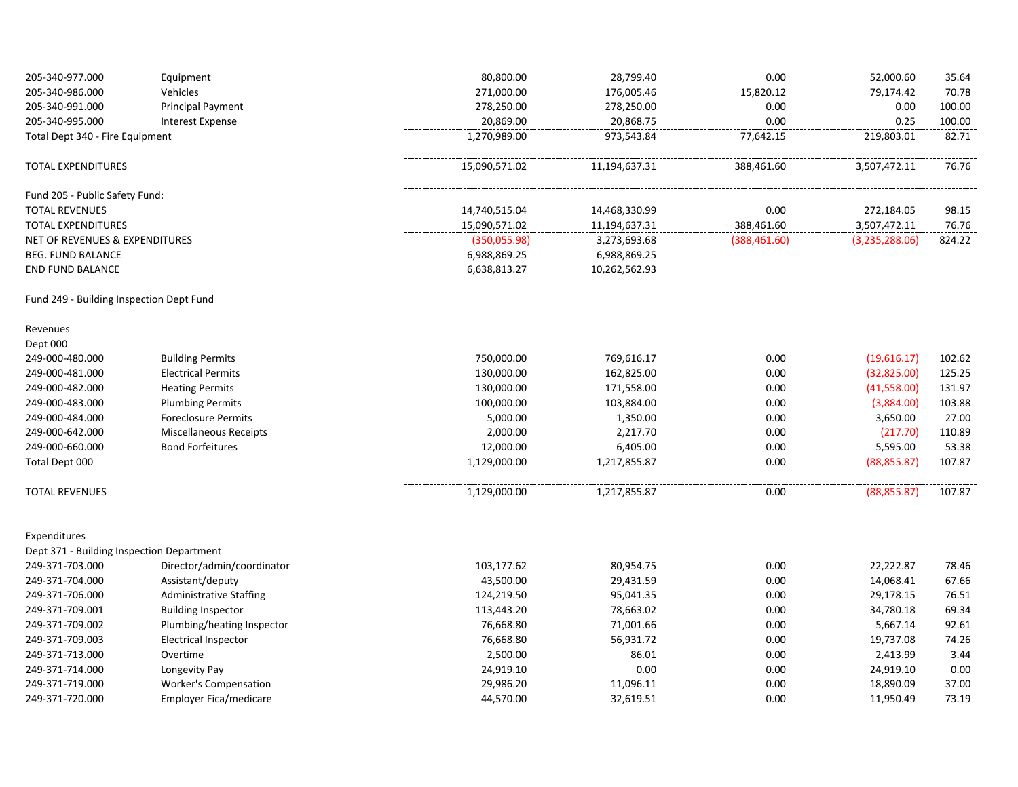| 205-340-977.000                           | Equipment                      | 80,800.00     | 28,799.40     | 0.00          | 52,000.60      | 35.64  |
|-------------------------------------------|--------------------------------|---------------|---------------|---------------|----------------|--------|
| 205-340-986.000                           | Vehicles                       | 271,000.00    | 176,005.46    | 15,820.12     | 79,174.42      | 70.78  |
| 205-340-991.000                           | <b>Principal Payment</b>       | 278,250.00    | 278,250.00    | 0.00          | 0.00           | 100.00 |
| 205-340-995.000                           | <b>Interest Expense</b>        | 20,869.00     | 20,868.75     | 0.00          | 0.25           | 100.00 |
|                                           |                                | 1,270,989.00  | 973,543.84    | 77,642.15     | 219,803.01     | 82.71  |
| Total Dept 340 - Fire Equipment           |                                |               |               |               |                |        |
| <b>TOTAL EXPENDITURES</b>                 |                                | 15.090.571.02 | 11.194.637.31 | 388.461.60    | 3,507,472.11   | 76.76  |
| Fund 205 - Public Safety Fund:            |                                |               |               |               |                |        |
| <b>TOTAL REVENUES</b>                     |                                | 14,740,515.04 | 14,468,330.99 | 0.00          | 272,184.05     | 98.15  |
| <b>TOTAL EXPENDITURES</b>                 |                                | 15,090,571.02 | 11,194,637.31 | 388,461.60    | 3,507,472.11   | 76.76  |
| <b>NET OF REVENUES &amp; EXPENDITURES</b> |                                | (350,055.98)  | 3,273,693.68  | (388, 461.60) | (3,235,288.06) | 824.22 |
| <b>BEG. FUND BALANCE</b>                  |                                | 6,988,869.25  | 6,988,869.25  |               |                |        |
| <b>END FUND BALANCE</b>                   |                                | 6,638,813.27  | 10,262,562.93 |               |                |        |
| Fund 249 - Building Inspection Dept Fund  |                                |               |               |               |                |        |
| Revenues                                  |                                |               |               |               |                |        |
| Dept 000                                  |                                |               |               |               |                |        |
| 249-000-480.000                           | <b>Building Permits</b>        | 750,000.00    | 769,616.17    | 0.00          | (19,616.17)    | 102.62 |
| 249-000-481.000                           | <b>Electrical Permits</b>      | 130,000.00    | 162,825.00    | 0.00          | (32,825.00)    | 125.25 |
| 249-000-482.000                           | <b>Heating Permits</b>         | 130,000.00    | 171,558.00    | 0.00          | (41,558.00)    | 131.97 |
| 249-000-483.000                           | <b>Plumbing Permits</b>        | 100,000.00    | 103,884.00    | 0.00          | (3,884.00)     | 103.88 |
| 249-000-484.000                           | <b>Foreclosure Permits</b>     | 5,000.00      | 1,350.00      | 0.00          | 3,650.00       | 27.00  |
| 249-000-642.000                           | <b>Miscellaneous Receipts</b>  | 2,000.00      | 2,217.70      | 0.00          | (217.70)       | 110.89 |
| 249-000-660.000                           | <b>Bond Forfeitures</b>        | 12,000.00     | 6,405.00      | 0.00          | 5,595.00       | 53.38  |
| Total Dept 000                            |                                | 1,129,000.00  | 1,217,855.87  | 0.00          | (88, 855.87)   | 107.87 |
| <b>TOTAL REVENUES</b>                     |                                | 1,129,000.00  | 1,217,855.87  | 0.00          | (88, 855.87)   | 107.87 |
| Expenditures                              |                                |               |               |               |                |        |
| Dept 371 - Building Inspection Department |                                |               |               |               |                |        |
| 249-371-703.000                           | Director/admin/coordinator     | 103,177.62    | 80,954.75     | 0.00          | 22,222.87      | 78.46  |
| 249-371-704.000                           | Assistant/deputy               | 43,500.00     | 29,431.59     | 0.00          | 14,068.41      | 67.66  |
| 249-371-706.000                           | <b>Administrative Staffing</b> | 124,219.50    | 95,041.35     | 0.00          | 29,178.15      | 76.51  |
| 249-371-709.001                           | <b>Building Inspector</b>      | 113,443.20    | 78,663.02     | 0.00          | 34,780.18      | 69.34  |
| 249-371-709.002                           | Plumbing/heating Inspector     | 76,668.80     | 71,001.66     | 0.00          | 5,667.14       | 92.61  |
| 249-371-709.003                           | <b>Electrical Inspector</b>    | 76,668.80     | 56,931.72     | 0.00          | 19,737.08      | 74.26  |
| 249-371-713.000                           | Overtime                       | 2,500.00      | 86.01         | 0.00          | 2,413.99       | 3.44   |
| 249-371-714.000                           | Longevity Pay                  | 24,919.10     | 0.00          | 0.00          | 24,919.10      | 0.00   |
| 249-371-719.000                           | <b>Worker's Compensation</b>   | 29,986.20     | 11,096.11     | 0.00          | 18,890.09      | 37.00  |
| 249-371-720.000                           | Employer Fica/medicare         | 44,570.00     | 32,619.51     | 0.00          | 11,950.49      | 73.19  |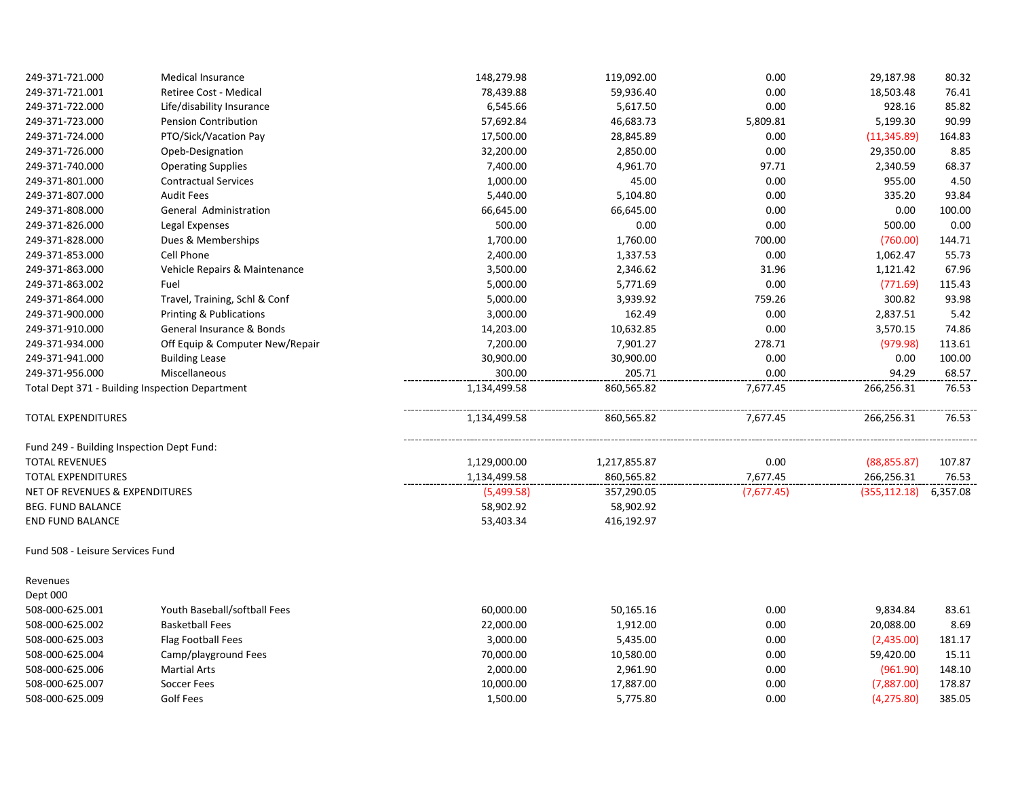| 249-371-721.000                           | Medical Insurance                               | 148,279.98   | 119,092.00   | 0.00       | 29,187.98     | 80.32    |
|-------------------------------------------|-------------------------------------------------|--------------|--------------|------------|---------------|----------|
| 249-371-721.001                           | Retiree Cost - Medical                          | 78,439.88    | 59,936.40    | 0.00       | 18,503.48     | 76.41    |
| 249-371-722.000                           | Life/disability Insurance                       | 6,545.66     | 5,617.50     | 0.00       | 928.16        | 85.82    |
| 249-371-723.000                           | Pension Contribution                            | 57,692.84    | 46,683.73    | 5,809.81   | 5,199.30      | 90.99    |
| 249-371-724.000                           | PTO/Sick/Vacation Pay                           | 17,500.00    | 28,845.89    | 0.00       | (11, 345.89)  | 164.83   |
| 249-371-726.000                           | Opeb-Designation                                | 32,200.00    | 2,850.00     | 0.00       | 29,350.00     | 8.85     |
| 249-371-740.000                           | <b>Operating Supplies</b>                       | 7,400.00     | 4,961.70     | 97.71      | 2,340.59      | 68.37    |
| 249-371-801.000                           | <b>Contractual Services</b>                     | 1,000.00     | 45.00        | 0.00       | 955.00        | 4.50     |
| 249-371-807.000                           | <b>Audit Fees</b>                               | 5,440.00     | 5,104.80     | 0.00       | 335.20        | 93.84    |
| 249-371-808.000                           | General Administration                          | 66,645.00    | 66,645.00    | 0.00       | 0.00          | 100.00   |
| 249-371-826.000                           | Legal Expenses                                  | 500.00       | 0.00         | 0.00       | 500.00        | 0.00     |
| 249-371-828.000                           | Dues & Memberships                              | 1,700.00     | 1,760.00     | 700.00     | (760.00)      | 144.71   |
| 249-371-853.000                           | Cell Phone                                      | 2,400.00     | 1,337.53     | 0.00       | 1,062.47      | 55.73    |
| 249-371-863.000                           | Vehicle Repairs & Maintenance                   | 3,500.00     | 2,346.62     | 31.96      | 1,121.42      | 67.96    |
| 249-371-863.002                           | Fuel                                            | 5,000.00     | 5,771.69     | 0.00       | (771.69)      | 115.43   |
| 249-371-864.000                           | Travel, Training, Schl & Conf                   | 5,000.00     | 3,939.92     | 759.26     | 300.82        | 93.98    |
| 249-371-900.000                           | <b>Printing &amp; Publications</b>              | 3,000.00     | 162.49       | 0.00       | 2,837.51      | 5.42     |
| 249-371-910.000                           | General Insurance & Bonds                       | 14,203.00    | 10,632.85    | 0.00       | 3,570.15      | 74.86    |
| 249-371-934.000                           | Off Equip & Computer New/Repair                 | 7,200.00     | 7,901.27     | 278.71     | (979.98)      | 113.61   |
| 249-371-941.000                           | <b>Building Lease</b>                           | 30,900.00    | 30,900.00    | 0.00       | 0.00          | 100.00   |
| 249-371-956.000                           | Miscellaneous                                   | 300.00       | 205.71       | 0.00       | 94.29         | 68.57    |
|                                           | Total Dept 371 - Building Inspection Department | 1,134,499.58 | 860,565.82   | 7,677.45   | 266,256.31    | 76.53    |
| <b>TOTAL EXPENDITURES</b>                 |                                                 | 1,134,499.58 | 860,565.82   | 7,677.45   | 266,256.31    | 76.53    |
| Fund 249 - Building Inspection Dept Fund: |                                                 |              |              |            |               |          |
| <b>TOTAL REVENUES</b>                     |                                                 | 1,129,000.00 | 1,217,855.87 | 0.00       | (88, 855.87)  | 107.87   |
| <b>TOTAL EXPENDITURES</b>                 |                                                 | 1,134,499.58 | 860,565.82   | 7,677.45   | 266,256.31    | 76.53    |
| NET OF REVENUES & EXPENDITURES            |                                                 | (5,499.58)   | 357,290.05   | (7,677.45) | (355, 112.18) | 6,357.08 |
| <b>BEG. FUND BALANCE</b>                  |                                                 | 58,902.92    | 58,902.92    |            |               |          |
| <b>END FUND BALANCE</b>                   |                                                 | 53,403.34    | 416,192.97   |            |               |          |
| Fund 508 - Leisure Services Fund          |                                                 |              |              |            |               |          |
| Revenues                                  |                                                 |              |              |            |               |          |
| Dept 000                                  |                                                 |              |              |            |               |          |
| 508-000-625.001                           | Youth Baseball/softball Fees                    | 60,000.00    | 50,165.16    | 0.00       | 9,834.84      | 83.61    |
| 508-000-625.002                           | <b>Basketball Fees</b>                          | 22,000.00    | 1,912.00     | 0.00       | 20,088.00     | 8.69     |
| 508-000-625.003                           | <b>Flag Football Fees</b>                       | 3,000.00     | 5,435.00     | 0.00       | (2,435.00)    | 181.17   |
| 508-000-625.004                           | Camp/playground Fees                            | 70,000.00    | 10,580.00    | 0.00       | 59,420.00     | 15.11    |
| 508-000-625.006                           | <b>Martial Arts</b>                             | 2,000.00     | 2,961.90     | 0.00       | (961.90)      | 148.10   |
| 508-000-625.007                           | Soccer Fees                                     | 10,000.00    | 17,887.00    | 0.00       | (7,887.00)    | 178.87   |
| 508-000-625.009                           | Golf Fees                                       | 1,500.00     | 5,775.80     | 0.00       | (4, 275.80)   | 385.05   |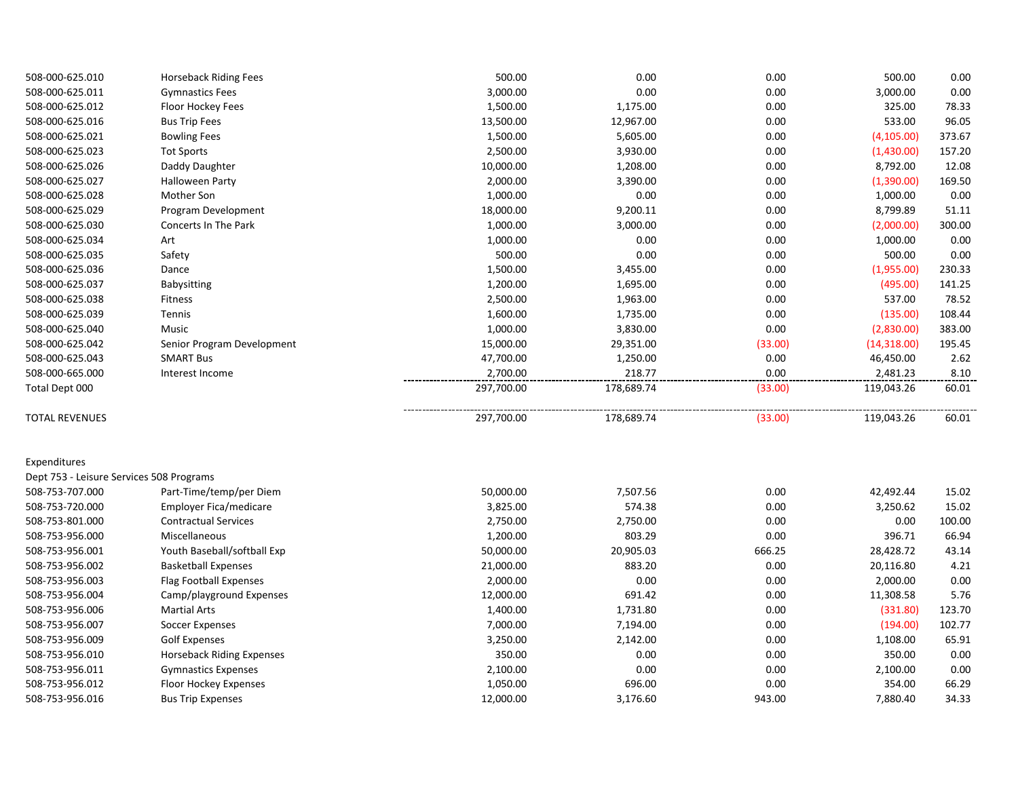| 508-000-625.010                          | <b>Horseback Riding Fees</b>     | 500.00     | 0.00       | 0.00    | 500.00      | 0.00   |
|------------------------------------------|----------------------------------|------------|------------|---------|-------------|--------|
| 508-000-625.011                          | <b>Gymnastics Fees</b>           | 3,000.00   | 0.00       | 0.00    | 3,000.00    | 0.00   |
| 508-000-625.012                          | Floor Hockey Fees                | 1,500.00   | 1,175.00   | 0.00    | 325.00      | 78.33  |
| 508-000-625.016                          | <b>Bus Trip Fees</b>             | 13,500.00  | 12,967.00  | 0.00    | 533.00      | 96.05  |
| 508-000-625.021                          | <b>Bowling Fees</b>              | 1,500.00   | 5,605.00   | 0.00    | (4, 105.00) | 373.67 |
| 508-000-625.023                          | <b>Tot Sports</b>                | 2,500.00   | 3,930.00   | 0.00    | (1,430.00)  | 157.20 |
| 508-000-625.026                          | Daddy Daughter                   | 10,000.00  | 1,208.00   | 0.00    | 8,792.00    | 12.08  |
| 508-000-625.027                          | <b>Halloween Party</b>           | 2,000.00   | 3,390.00   | 0.00    | (1,390.00)  | 169.50 |
| 508-000-625.028                          | Mother Son                       | 1,000.00   | 0.00       | 0.00    | 1,000.00    | 0.00   |
| 508-000-625.029                          | Program Development              | 18,000.00  | 9,200.11   | 0.00    | 8,799.89    | 51.11  |
| 508-000-625.030                          | Concerts In The Park             | 1,000.00   | 3,000.00   | 0.00    | (2,000.00)  | 300.00 |
| 508-000-625.034                          | Art                              | 1,000.00   | 0.00       | 0.00    | 1,000.00    | 0.00   |
| 508-000-625.035                          | Safety                           | 500.00     | 0.00       | 0.00    | 500.00      | 0.00   |
| 508-000-625.036                          | Dance                            | 1,500.00   | 3,455.00   | 0.00    | (1,955.00)  | 230.33 |
| 508-000-625.037                          | Babysitting                      | 1,200.00   | 1,695.00   | 0.00    | (495.00)    | 141.25 |
| 508-000-625.038                          | <b>Fitness</b>                   | 2,500.00   | 1,963.00   | 0.00    | 537.00      | 78.52  |
| 508-000-625.039                          | Tennis                           | 1,600.00   | 1,735.00   | 0.00    | (135.00)    | 108.44 |
| 508-000-625.040                          | Music                            | 1,000.00   | 3,830.00   | 0.00    | (2,830.00)  | 383.00 |
| 508-000-625.042                          | Senior Program Development       | 15,000.00  | 29,351.00  | (33.00) | (14,318.00) | 195.45 |
| 508-000-625.043                          | <b>SMART Bus</b>                 | 47,700.00  | 1,250.00   | 0.00    | 46,450.00   | 2.62   |
| 508-000-665.000                          | Interest Income                  | 2,700.00   | 218.77     | 0.00    | 2,481.23    | 8.10   |
| Total Dept 000                           |                                  | 297,700.00 | 178,689.74 | (33.00) | 119,043.26  | 60.01  |
| <b>TOTAL REVENUES</b>                    |                                  | 297,700.00 | 178,689.74 | (33.00) | 119,043.26  | 60.01  |
| Expenditures                             |                                  |            |            |         |             |        |
| Dept 753 - Leisure Services 508 Programs |                                  |            |            |         |             |        |
| 508-753-707.000                          | Part-Time/temp/per Diem          | 50,000.00  | 7,507.56   | 0.00    | 42,492.44   | 15.02  |
| 508-753-720.000                          | Employer Fica/medicare           | 3,825.00   | 574.38     | 0.00    | 3,250.62    | 15.02  |
| 508-753-801.000                          | <b>Contractual Services</b>      | 2,750.00   | 2,750.00   | 0.00    | 0.00        | 100.00 |
| 508-753-956.000                          | Miscellaneous                    | 1,200.00   | 803.29     | 0.00    | 396.71      | 66.94  |
| 508-753-956.001                          | Youth Baseball/softball Exp      | 50,000.00  | 20,905.03  | 666.25  | 28,428.72   | 43.14  |
| 508-753-956.002                          | <b>Basketball Expenses</b>       | 21,000.00  | 883.20     | 0.00    | 20,116.80   | 4.21   |
| 508-753-956.003                          | <b>Flag Football Expenses</b>    | 2,000.00   | 0.00       | 0.00    | 2,000.00    | 0.00   |
| 508-753-956.004                          | Camp/playground Expenses         | 12,000.00  | 691.42     | 0.00    | 11,308.58   | 5.76   |
| 508-753-956.006                          | <b>Martial Arts</b>              | 1,400.00   | 1,731.80   | 0.00    | (331.80)    | 123.70 |
| 508-753-956.007                          | <b>Soccer Expenses</b>           | 7,000.00   | 7,194.00   | 0.00    | (194.00)    | 102.77 |
| 508-753-956.009                          | <b>Golf Expenses</b>             | 3,250.00   | 2,142.00   | 0.00    | 1,108.00    | 65.91  |
| 508-753-956.010                          | <b>Horseback Riding Expenses</b> | 350.00     | 0.00       | 0.00    | 350.00      | 0.00   |
| 508-753-956.011                          | <b>Gymnastics Expenses</b>       | 2,100.00   | 0.00       | 0.00    | 2,100.00    | 0.00   |
| 508-753-956.012                          | Floor Hockey Expenses            | 1,050.00   | 696.00     | 0.00    | 354.00      | 66.29  |
| 508-753-956.016                          | <b>Bus Trip Expenses</b>         | 12,000.00  | 3,176.60   | 943.00  | 7,880.40    | 34.33  |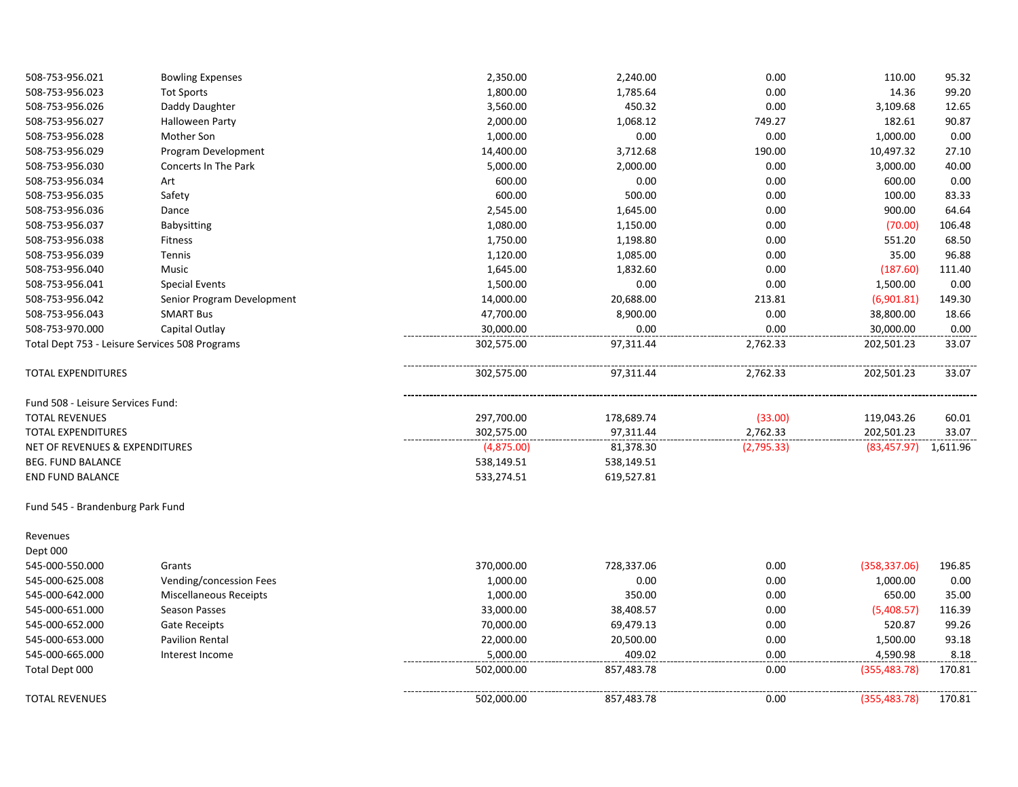| 508-753-956.021                   | <b>Bowling Expenses</b>                        | 2,350.00   | 2,240.00   | 0.00       | 110.00        | 95.32    |
|-----------------------------------|------------------------------------------------|------------|------------|------------|---------------|----------|
| 508-753-956.023                   | <b>Tot Sports</b>                              | 1,800.00   | 1,785.64   | 0.00       | 14.36         | 99.20    |
| 508-753-956.026                   | Daddy Daughter                                 | 3,560.00   | 450.32     | 0.00       | 3,109.68      | 12.65    |
| 508-753-956.027                   | <b>Halloween Party</b>                         | 2,000.00   | 1,068.12   | 749.27     | 182.61        | 90.87    |
| 508-753-956.028                   | Mother Son                                     | 1,000.00   | 0.00       | 0.00       | 1,000.00      | 0.00     |
| 508-753-956.029                   | Program Development                            | 14,400.00  | 3,712.68   | 190.00     | 10,497.32     | 27.10    |
| 508-753-956.030                   | Concerts In The Park                           | 5,000.00   | 2,000.00   | 0.00       | 3,000.00      | 40.00    |
| 508-753-956.034                   | Art                                            | 600.00     | 0.00       | 0.00       | 600.00        | 0.00     |
| 508-753-956.035                   | Safety                                         | 600.00     | 500.00     | 0.00       | 100.00        | 83.33    |
| 508-753-956.036                   | Dance                                          | 2,545.00   | 1,645.00   | 0.00       | 900.00        | 64.64    |
| 508-753-956.037                   | Babysitting                                    | 1,080.00   | 1,150.00   | 0.00       | (70.00)       | 106.48   |
| 508-753-956.038                   | Fitness                                        | 1,750.00   | 1,198.80   | 0.00       | 551.20        | 68.50    |
| 508-753-956.039                   | Tennis                                         | 1,120.00   | 1,085.00   | 0.00       | 35.00         | 96.88    |
| 508-753-956.040                   | Music                                          | 1,645.00   | 1,832.60   | 0.00       | (187.60)      | 111.40   |
| 508-753-956.041                   | <b>Special Events</b>                          | 1,500.00   | 0.00       | 0.00       | 1,500.00      | 0.00     |
| 508-753-956.042                   | Senior Program Development                     | 14,000.00  | 20,688.00  | 213.81     | (6,901.81)    | 149.30   |
| 508-753-956.043                   | <b>SMART Bus</b>                               | 47,700.00  | 8,900.00   | 0.00       | 38,800.00     | 18.66    |
| 508-753-970.000                   | Capital Outlay                                 | 30,000.00  | 0.00       | 0.00       | 30,000.00     | 0.00     |
|                                   | Total Dept 753 - Leisure Services 508 Programs | 302,575.00 | 97,311.44  | 2,762.33   | 202,501.23    | 33.07    |
| <b>TOTAL EXPENDITURES</b>         |                                                | 302,575.00 | 97,311.44  | 2,762.33   | 202,501.23    | 33.07    |
| Fund 508 - Leisure Services Fund: |                                                |            |            |            |               |          |
| <b>TOTAL REVENUES</b>             |                                                | 297,700.00 | 178,689.74 | (33.00)    | 119,043.26    | 60.01    |
| <b>TOTAL EXPENDITURES</b>         |                                                | 302,575.00 | 97,311.44  | 2,762.33   | 202,501.23    | 33.07    |
| NET OF REVENUES & EXPENDITURES    |                                                | (4,875.00) | 81,378.30  | (2,795.33) | (83, 457.97)  | 1,611.96 |
| <b>BEG. FUND BALANCE</b>          |                                                | 538,149.51 | 538,149.51 |            |               |          |
| <b>END FUND BALANCE</b>           |                                                | 533,274.51 | 619,527.81 |            |               |          |
| Fund 545 - Brandenburg Park Fund  |                                                |            |            |            |               |          |
| Revenues                          |                                                |            |            |            |               |          |
| Dept 000                          |                                                |            |            |            |               |          |
| 545-000-550.000                   | Grants                                         | 370,000.00 | 728,337.06 | 0.00       | (358, 337.06) | 196.85   |
| 545-000-625.008                   | Vending/concession Fees                        | 1,000.00   | 0.00       | 0.00       | 1,000.00      | 0.00     |
| 545-000-642.000                   | <b>Miscellaneous Receipts</b>                  | 1,000.00   | 350.00     | 0.00       | 650.00        | 35.00    |
| 545-000-651.000                   | <b>Season Passes</b>                           | 33,000.00  | 38,408.57  | 0.00       | (5,408.57)    | 116.39   |
| 545-000-652.000                   | <b>Gate Receipts</b>                           | 70,000.00  | 69,479.13  | 0.00       | 520.87        | 99.26    |
| 545-000-653.000                   | <b>Pavilion Rental</b>                         | 22,000.00  | 20,500.00  | 0.00       | 1,500.00      | 93.18    |
| 545-000-665.000                   | Interest Income                                | 5,000.00   | 409.02     | 0.00       | 4,590.98      | 8.18     |
| Total Dept 000                    |                                                | 502,000.00 | 857,483.78 | 0.00       | (355, 483.78) | 170.81   |
| <b>TOTAL REVENUES</b>             |                                                | 502,000.00 | 857,483.78 | 0.00       | (355, 483.78) | 170.81   |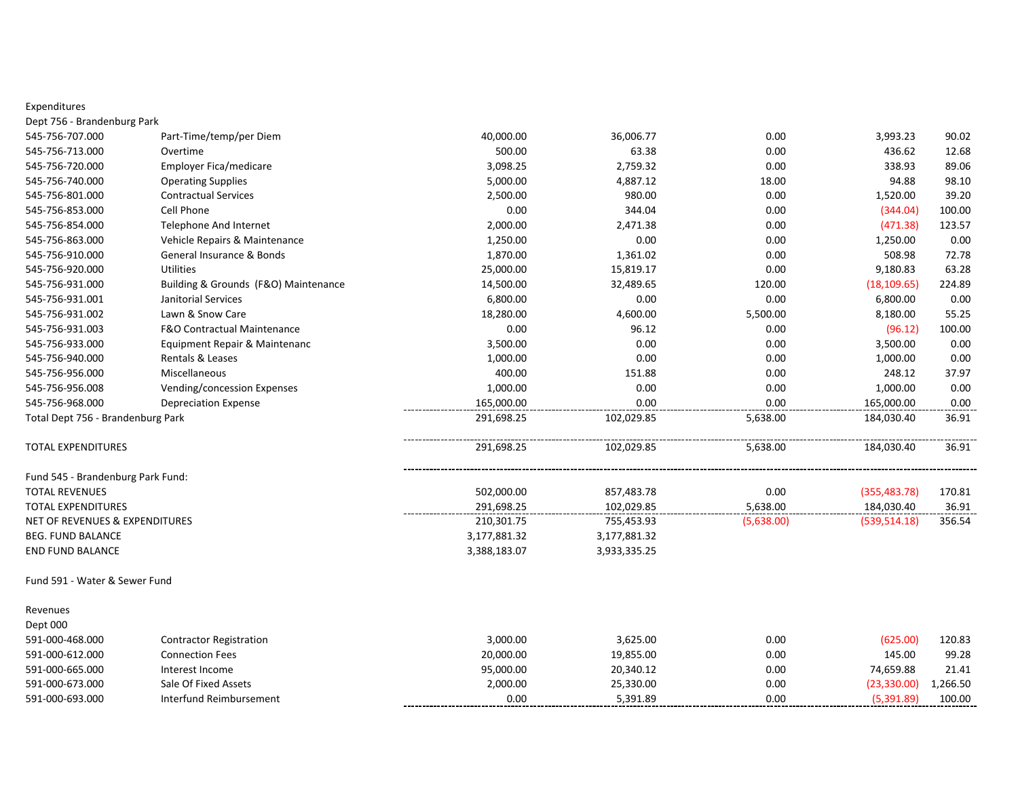| Expenditures                      |                                      |              |              |            |               |          |
|-----------------------------------|--------------------------------------|--------------|--------------|------------|---------------|----------|
| Dept 756 - Brandenburg Park       |                                      |              |              |            |               |          |
| 545-756-707.000                   | Part-Time/temp/per Diem              | 40,000.00    | 36,006.77    | 0.00       | 3,993.23      | 90.02    |
| 545-756-713.000                   | Overtime                             | 500.00       | 63.38        | 0.00       | 436.62        | 12.68    |
| 545-756-720.000                   | Employer Fica/medicare               | 3,098.25     | 2,759.32     | 0.00       | 338.93        | 89.06    |
| 545-756-740.000                   | <b>Operating Supplies</b>            | 5,000.00     | 4,887.12     | 18.00      | 94.88         | 98.10    |
| 545-756-801.000                   | <b>Contractual Services</b>          | 2,500.00     | 980.00       | 0.00       | 1,520.00      | 39.20    |
| 545-756-853.000                   | Cell Phone                           | 0.00         | 344.04       | 0.00       | (344.04)      | 100.00   |
| 545-756-854.000                   | <b>Telephone And Internet</b>        | 2,000.00     | 2,471.38     | 0.00       | (471.38)      | 123.57   |
| 545-756-863.000                   | Vehicle Repairs & Maintenance        | 1,250.00     | 0.00         | 0.00       | 1,250.00      | 0.00     |
| 545-756-910.000                   | General Insurance & Bonds            | 1,870.00     | 1,361.02     | 0.00       | 508.98        | 72.78    |
| 545-756-920.000                   | <b>Utilities</b>                     | 25,000.00    | 15,819.17    | 0.00       | 9,180.83      | 63.28    |
| 545-756-931.000                   | Building & Grounds (F&O) Maintenance | 14,500.00    | 32,489.65    | 120.00     | (18, 109.65)  | 224.89   |
| 545-756-931.001                   | <b>Janitorial Services</b>           | 6,800.00     | 0.00         | 0.00       | 6,800.00      | 0.00     |
| 545-756-931.002                   | Lawn & Snow Care                     | 18,280.00    | 4,600.00     | 5,500.00   | 8,180.00      | 55.25    |
| 545-756-931.003                   | F&O Contractual Maintenance          | 0.00         | 96.12        | 0.00       | (96.12)       | 100.00   |
| 545-756-933.000                   | Equipment Repair & Maintenanc        | 3,500.00     | 0.00         | 0.00       | 3,500.00      | 0.00     |
| 545-756-940.000                   | Rentals & Leases                     | 1,000.00     | 0.00         | 0.00       | 1,000.00      | 0.00     |
| 545-756-956.000                   | Miscellaneous                        | 400.00       | 151.88       | 0.00       | 248.12        | 37.97    |
| 545-756-956.008                   | Vending/concession Expenses          | 1,000.00     | 0.00         | 0.00       | 1,000.00      | 0.00     |
| 545-756-968.000                   | <b>Depreciation Expense</b>          | 165,000.00   | 0.00         | 0.00       | 165,000.00    | 0.00     |
| Total Dept 756 - Brandenburg Park |                                      | 291,698.25   | 102,029.85   | 5,638.00   | 184,030.40    | 36.91    |
| <b>TOTAL EXPENDITURES</b>         |                                      | 291,698.25   | 102,029.85   | 5,638.00   | 184,030.40    | 36.91    |
| Fund 545 - Brandenburg Park Fund: |                                      |              |              |            |               |          |
| <b>TOTAL REVENUES</b>             |                                      | 502,000.00   | 857,483.78   | 0.00       | (355, 483.78) | 170.81   |
| <b>TOTAL EXPENDITURES</b>         |                                      | 291,698.25   | 102,029.85   | 5,638.00   | 184,030.40    | 36.91    |
| NET OF REVENUES & EXPENDITURES    |                                      | 210,301.75   | 755,453.93   | (5,638.00) | (539, 514.18) | 356.54   |
| <b>BEG. FUND BALANCE</b>          |                                      | 3,177,881.32 | 3,177,881.32 |            |               |          |
| <b>END FUND BALANCE</b>           |                                      | 3,388,183.07 | 3,933,335.25 |            |               |          |
| Fund 591 - Water & Sewer Fund     |                                      |              |              |            |               |          |
| Revenues                          |                                      |              |              |            |               |          |
| Dept 000                          |                                      |              |              |            |               |          |
| 591-000-468.000                   | <b>Contractor Registration</b>       | 3,000.00     | 3,625.00     | 0.00       | (625.00)      | 120.83   |
| 591-000-612.000                   | <b>Connection Fees</b>               | 20,000.00    | 19,855.00    | 0.00       | 145.00        | 99.28    |
| 591-000-665.000                   | Interest Income                      | 95,000.00    | 20,340.12    | 0.00       | 74,659.88     | 21.41    |
| 591-000-673.000                   | Sale Of Fixed Assets                 | 2,000.00     | 25,330.00    | 0.00       | (23, 330.00)  | 1,266.50 |
| 591-000-693.000                   | Interfund Reimbursement              | 0.00         | 5,391.89     | 0.00       | (5,391.89)    | 100.00   |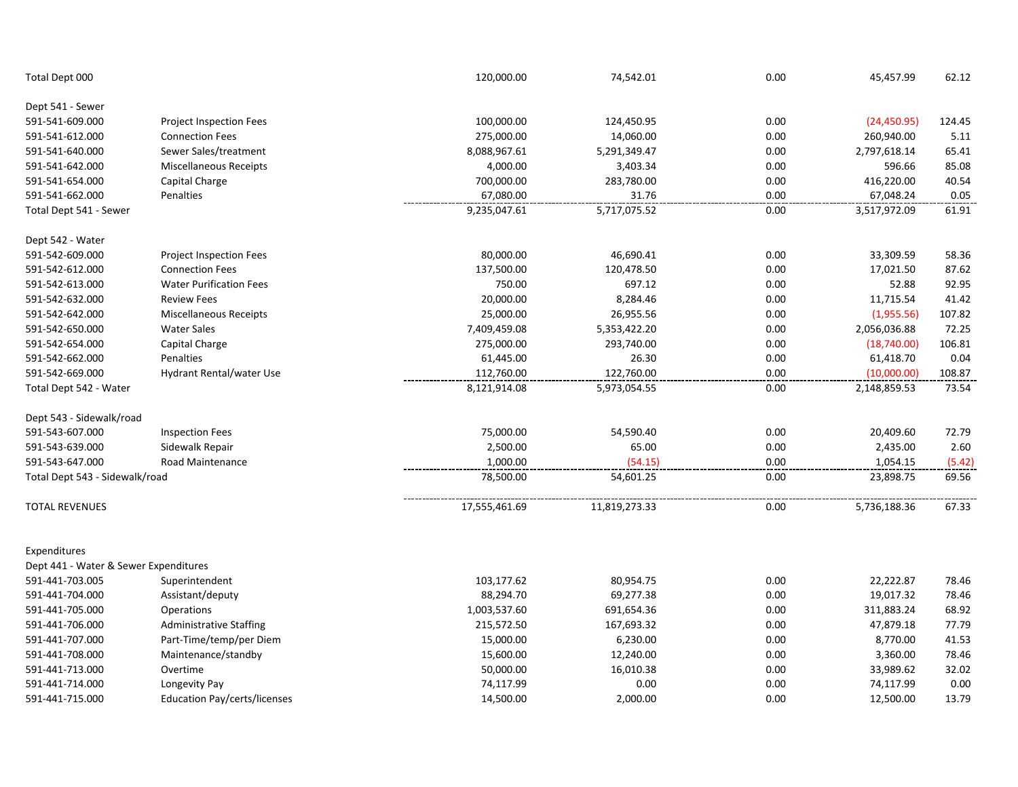| Total Dept 000                        |                                | 120,000.00    | 74,542.01     | 0.00 | 45,457.99    | 62.12  |
|---------------------------------------|--------------------------------|---------------|---------------|------|--------------|--------|
| Dept 541 - Sewer                      |                                |               |               |      |              |        |
| 591-541-609.000                       | Project Inspection Fees        | 100,000.00    | 124,450.95    | 0.00 | (24, 450.95) | 124.45 |
| 591-541-612.000                       | <b>Connection Fees</b>         | 275,000.00    | 14,060.00     | 0.00 | 260,940.00   | 5.11   |
| 591-541-640.000                       | Sewer Sales/treatment          | 8,088,967.61  | 5,291,349.47  | 0.00 | 2,797,618.14 | 65.41  |
| 591-541-642.000                       | <b>Miscellaneous Receipts</b>  | 4,000.00      | 3,403.34      | 0.00 | 596.66       | 85.08  |
| 591-541-654.000                       | Capital Charge                 | 700,000.00    | 283,780.00    | 0.00 | 416,220.00   | 40.54  |
| 591-541-662.000                       | Penalties                      | 67,080.00     | 31.76         | 0.00 | 67,048.24    | 0.05   |
| Total Dept 541 - Sewer                |                                | 9,235,047.61  | 5,717,075.52  | 0.00 | 3,517,972.09 | 61.91  |
| Dept 542 - Water                      |                                |               |               |      |              |        |
| 591-542-609.000                       | <b>Project Inspection Fees</b> | 80,000.00     | 46,690.41     | 0.00 | 33,309.59    | 58.36  |
| 591-542-612.000                       | <b>Connection Fees</b>         | 137,500.00    | 120,478.50    | 0.00 | 17,021.50    | 87.62  |
| 591-542-613.000                       | <b>Water Purification Fees</b> | 750.00        | 697.12        | 0.00 | 52.88        | 92.95  |
| 591-542-632.000                       | <b>Review Fees</b>             | 20,000.00     | 8,284.46      | 0.00 | 11,715.54    | 41.42  |
| 591-542-642.000                       | <b>Miscellaneous Receipts</b>  | 25,000.00     | 26,955.56     | 0.00 | (1,955.56)   | 107.82 |
| 591-542-650.000                       | <b>Water Sales</b>             | 7,409,459.08  | 5,353,422.20  | 0.00 | 2,056,036.88 | 72.25  |
| 591-542-654.000                       | Capital Charge                 | 275,000.00    | 293,740.00    | 0.00 | (18,740.00)  | 106.81 |
| 591-542-662.000                       | Penalties                      | 61,445.00     | 26.30         | 0.00 | 61,418.70    | 0.04   |
| 591-542-669.000                       | Hydrant Rental/water Use       | 112,760.00    | 122,760.00    | 0.00 | (10,000.00)  | 108.87 |
| Total Dept 542 - Water                |                                | 8,121,914.08  | 5,973,054.55  | 0.00 | 2,148,859.53 | 73.54  |
| Dept 543 - Sidewalk/road              |                                |               |               |      |              |        |
| 591-543-607.000                       | <b>Inspection Fees</b>         | 75,000.00     | 54,590.40     | 0.00 | 20,409.60    | 72.79  |
| 591-543-639.000                       | Sidewalk Repair                | 2,500.00      | 65.00         | 0.00 | 2,435.00     | 2.60   |
| 591-543-647.000                       | Road Maintenance               | 1,000.00      | (54.15)       | 0.00 | 1,054.15     | (5.42) |
| Total Dept 543 - Sidewalk/road        |                                | 78,500.00     | 54,601.25     | 0.00 | 23,898.75    | 69.56  |
| <b>TOTAL REVENUES</b>                 |                                | 17,555,461.69 | 11,819,273.33 | 0.00 | 5,736,188.36 | 67.33  |
| Expenditures                          |                                |               |               |      |              |        |
| Dept 441 - Water & Sewer Expenditures |                                |               |               |      |              |        |
| 591-441-703.005                       | Superintendent                 | 103,177.62    | 80,954.75     | 0.00 | 22,222.87    | 78.46  |
| 591-441-704.000                       | Assistant/deputy               | 88,294.70     | 69,277.38     | 0.00 | 19,017.32    | 78.46  |
| 591-441-705.000                       | Operations                     | 1,003,537.60  | 691,654.36    | 0.00 | 311,883.24   | 68.92  |
| 591-441-706.000                       | <b>Administrative Staffing</b> | 215,572.50    | 167,693.32    | 0.00 | 47,879.18    | 77.79  |
| 591-441-707.000                       | Part-Time/temp/per Diem        | 15,000.00     | 6,230.00      | 0.00 | 8,770.00     | 41.53  |
| 591-441-708.000                       | Maintenance/standby            | 15,600.00     | 12,240.00     | 0.00 | 3,360.00     | 78.46  |
| 591-441-713.000                       | Overtime                       | 50,000.00     | 16,010.38     | 0.00 | 33,989.62    | 32.02  |
| 591-441-714.000                       | Longevity Pay                  | 74,117.99     | 0.00          | 0.00 | 74,117.99    | 0.00   |
| 591-441-715.000                       | Education Pay/certs/licenses   | 14,500.00     | 2,000.00      | 0.00 | 12,500.00    | 13.79  |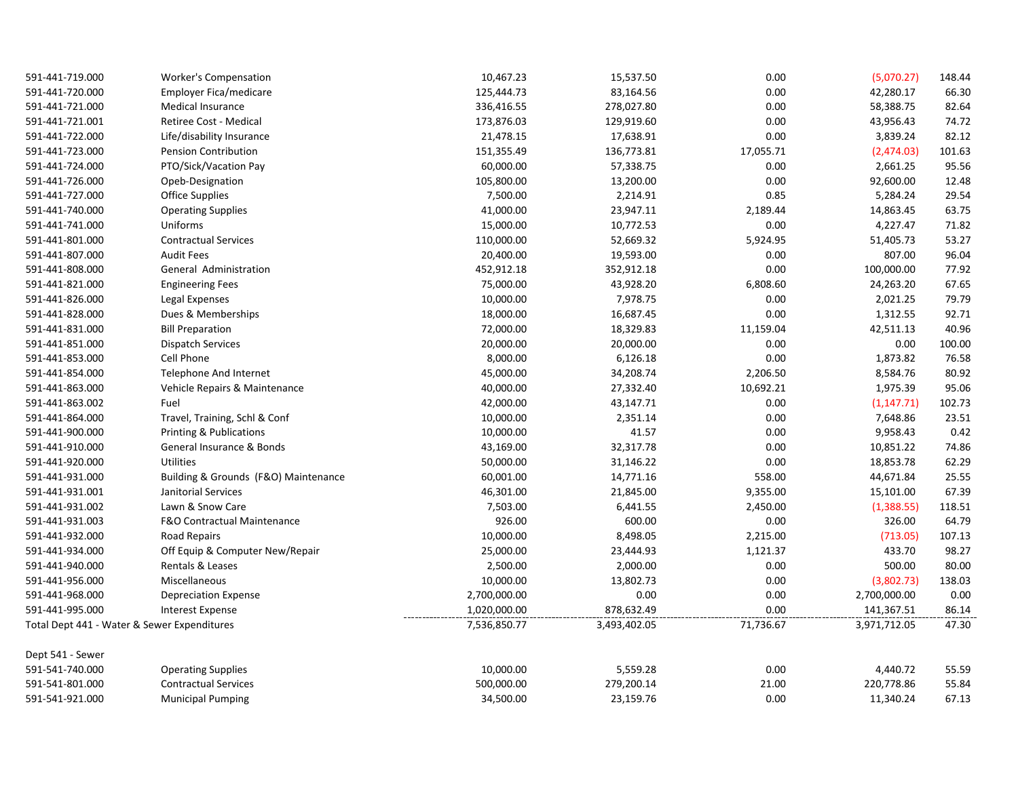| 591-441-719.000                             | <b>Worker's Compensation</b>         | 10,467.23    | 15,537.50    | 0.00      | (5,070.27)   | 148.44 |
|---------------------------------------------|--------------------------------------|--------------|--------------|-----------|--------------|--------|
| 591-441-720.000                             | Employer Fica/medicare               | 125,444.73   | 83,164.56    | 0.00      | 42,280.17    | 66.30  |
| 591-441-721.000                             | Medical Insurance                    | 336,416.55   | 278,027.80   | 0.00      | 58,388.75    | 82.64  |
| 591-441-721.001                             | Retiree Cost - Medical               | 173,876.03   | 129,919.60   | 0.00      | 43,956.43    | 74.72  |
| 591-441-722.000                             | Life/disability Insurance            | 21,478.15    | 17,638.91    | 0.00      | 3,839.24     | 82.12  |
| 591-441-723.000                             | <b>Pension Contribution</b>          | 151,355.49   | 136,773.81   | 17,055.71 | (2,474.03)   | 101.63 |
| 591-441-724.000                             | PTO/Sick/Vacation Pay                | 60,000.00    | 57,338.75    | 0.00      | 2,661.25     | 95.56  |
| 591-441-726.000                             | Opeb-Designation                     | 105,800.00   | 13,200.00    | 0.00      | 92,600.00    | 12.48  |
| 591-441-727.000                             | <b>Office Supplies</b>               | 7,500.00     | 2,214.91     | 0.85      | 5,284.24     | 29.54  |
| 591-441-740.000                             | <b>Operating Supplies</b>            | 41,000.00    | 23,947.11    | 2,189.44  | 14,863.45    | 63.75  |
| 591-441-741.000                             | Uniforms                             | 15,000.00    | 10,772.53    | 0.00      | 4,227.47     | 71.82  |
| 591-441-801.000                             | <b>Contractual Services</b>          | 110,000.00   | 52,669.32    | 5,924.95  | 51,405.73    | 53.27  |
| 591-441-807.000                             | <b>Audit Fees</b>                    | 20,400.00    | 19,593.00    | 0.00      | 807.00       | 96.04  |
| 591-441-808.000                             | General Administration               | 452,912.18   | 352,912.18   | 0.00      | 100,000.00   | 77.92  |
| 591-441-821.000                             | <b>Engineering Fees</b>              | 75,000.00    | 43,928.20    | 6,808.60  | 24,263.20    | 67.65  |
| 591-441-826.000                             | Legal Expenses                       | 10,000.00    | 7,978.75     | 0.00      | 2,021.25     | 79.79  |
| 591-441-828.000                             | Dues & Memberships                   | 18,000.00    | 16,687.45    | 0.00      | 1,312.55     | 92.71  |
| 591-441-831.000                             | <b>Bill Preparation</b>              | 72,000.00    | 18,329.83    | 11,159.04 | 42,511.13    | 40.96  |
| 591-441-851.000                             | Dispatch Services                    | 20,000.00    | 20,000.00    | 0.00      | 0.00         | 100.00 |
| 591-441-853.000                             | Cell Phone                           | 8,000.00     | 6,126.18     | 0.00      | 1,873.82     | 76.58  |
| 591-441-854.000                             | Telephone And Internet               | 45,000.00    | 34,208.74    | 2,206.50  | 8,584.76     | 80.92  |
| 591-441-863.000                             | Vehicle Repairs & Maintenance        | 40,000.00    | 27,332.40    | 10,692.21 | 1,975.39     | 95.06  |
| 591-441-863.002                             | Fuel                                 | 42,000.00    | 43,147.71    | 0.00      | (1, 147.71)  | 102.73 |
| 591-441-864.000                             | Travel, Training, Schl & Conf        | 10,000.00    | 2,351.14     | 0.00      | 7,648.86     | 23.51  |
| 591-441-900.000                             | <b>Printing &amp; Publications</b>   | 10,000.00    | 41.57        | 0.00      | 9,958.43     | 0.42   |
| 591-441-910.000                             | General Insurance & Bonds            | 43,169.00    | 32,317.78    | 0.00      | 10,851.22    | 74.86  |
| 591-441-920.000                             | Utilities                            | 50,000.00    | 31,146.22    | 0.00      | 18,853.78    | 62.29  |
| 591-441-931.000                             | Building & Grounds (F&O) Maintenance | 60,001.00    | 14,771.16    | 558.00    | 44,671.84    | 25.55  |
| 591-441-931.001                             | Janitorial Services                  | 46,301.00    | 21,845.00    | 9,355.00  | 15,101.00    | 67.39  |
| 591-441-931.002                             | Lawn & Snow Care                     | 7,503.00     | 6,441.55     | 2,450.00  | (1,388.55)   | 118.51 |
| 591-441-931.003                             | F&O Contractual Maintenance          | 926.00       | 600.00       | 0.00      | 326.00       | 64.79  |
| 591-441-932.000                             | <b>Road Repairs</b>                  | 10,000.00    | 8,498.05     | 2,215.00  | (713.05)     | 107.13 |
| 591-441-934.000                             | Off Equip & Computer New/Repair      | 25,000.00    | 23,444.93    | 1,121.37  | 433.70       | 98.27  |
| 591-441-940.000                             | Rentals & Leases                     | 2,500.00     | 2,000.00     | 0.00      | 500.00       | 80.00  |
| 591-441-956.000                             | Miscellaneous                        | 10,000.00    | 13,802.73    | 0.00      | (3,802.73)   | 138.03 |
| 591-441-968.000                             | <b>Depreciation Expense</b>          | 2,700,000.00 | 0.00         | 0.00      | 2,700,000.00 | 0.00   |
| 591-441-995.000                             | <b>Interest Expense</b>              | 1,020,000.00 | 878,632.49   | 0.00      | 141,367.51   | 86.14  |
| Total Dept 441 - Water & Sewer Expenditures |                                      | 7,536,850.77 | 3,493,402.05 | 71,736.67 | 3,971,712.05 | 47.30  |
| Dept 541 - Sewer                            |                                      |              |              |           |              |        |
| 591-541-740.000                             | <b>Operating Supplies</b>            | 10,000.00    | 5,559.28     | 0.00      | 4,440.72     | 55.59  |
| 591-541-801.000                             | <b>Contractual Services</b>          | 500,000.00   | 279,200.14   | 21.00     | 220,778.86   | 55.84  |
| 591-541-921.000                             | <b>Municipal Pumping</b>             | 34,500.00    | 23,159.76    | 0.00      | 11,340.24    | 67.13  |